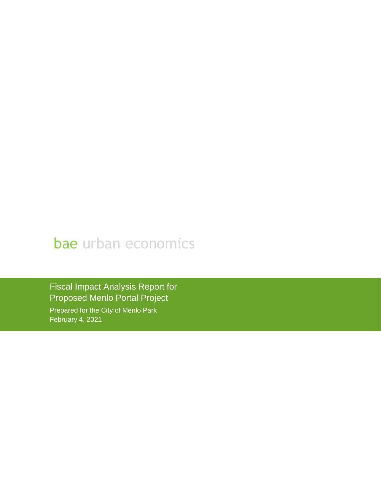## bae urban economics

Fiscal Impact Analysis Report for Proposed Menlo Portal Project Prepared for the City of Menlo Park February 4, 2021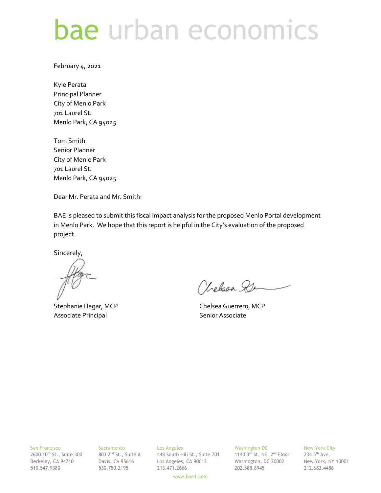# bae urban economics

February 4, 2021

Kyle Perata Principal Planner City of Menlo Park 701 Laurel St. Menlo Park, CA 94025

Tom Smith Senior Planner City of Menlo Park 701 Laurel St. Menlo Park, CA 94025

Dear Mr. Perata and Mr. Smith:

BAE is pleased to submit this fiscal impact analysis for the proposed Menlo Portal development in Menlo Park. We hope that this report is helpful in the City's evaluation of the proposed project.

Sincerely,

Associate Principal **Senior Associate** Senior Associate

Chelsea Se

Stephanie Hagar, MCP Chelsea Guerrero, MCP

## San Francisco Sacramento Los Angeles Washington DC New York City

2600 10<sup>th</sup> St., Suite 300  $\,$  803 2<sup>nd</sup> St., Suite A  $\,$  448 South Hill St., Suite 701  $\,$  1140 3<sup>rd</sup> St. NE, 2<sup>nd</sup> Floor  $\,$  234 5<sup>th</sup> Ave. Berkeley, CA 94710 Davis, CA 95616 Los Angeles, CA 90013 Washington, DC 20002 New York, NY 10001 510.547.9380 530.750.2195 213.471.2666 202.588.8945 212.683.4486

www.bae1.com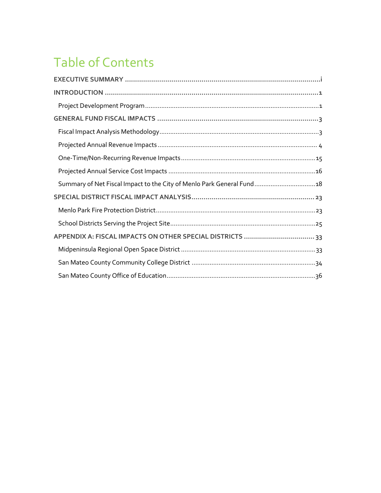## Table of Contents

| Summary of Net Fiscal Impact to the City of Menlo Park General Fund 18 |  |
|------------------------------------------------------------------------|--|
|                                                                        |  |
|                                                                        |  |
|                                                                        |  |
|                                                                        |  |
|                                                                        |  |
|                                                                        |  |
|                                                                        |  |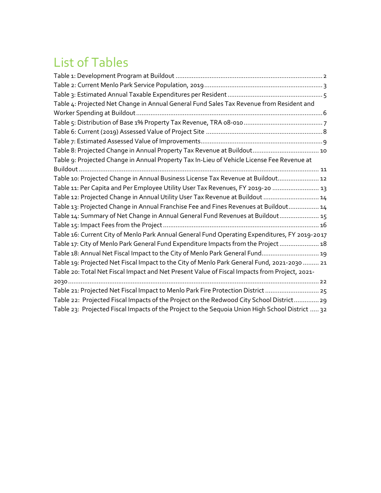## List of Tables

| Table 4: Projected Net Change in Annual General Fund Sales Tax Revenue from Resident and        |
|-------------------------------------------------------------------------------------------------|
|                                                                                                 |
|                                                                                                 |
|                                                                                                 |
|                                                                                                 |
| Table 8: Projected Change in Annual Property Tax Revenue at Buildout 10                         |
| Table 9: Projected Change in Annual Property Tax In-Lieu of Vehicle License Fee Revenue at      |
|                                                                                                 |
| Table 10: Projected Change in Annual Business License Tax Revenue at Buildout 12                |
| Table 11: Per Capita and Per Employee Utility User Tax Revenues, FY 2019-20  13                 |
| Table 12: Projected Change in Annual Utility User Tax Revenue at Buildout  14                   |
| Table 13: Projected Change in Annual Franchise Fee and Fines Revenues at Buildout 14            |
| Table 14: Summary of Net Change in Annual General Fund Revenues at Buildout 15                  |
|                                                                                                 |
| Table 16: Current City of Menlo Park Annual General Fund Operating Expenditures, FY 2019-2017   |
| Table 17: City of Menlo Park General Fund Expenditure Impacts from the Project 18               |
| Table 18: Annual Net Fiscal Impact to the City of Menlo Park General Fund 19                    |
| Table 19: Projected Net Fiscal Impact to the City of Menlo Park General Fund, 2021-2030  21     |
| Table 20: Total Net Fiscal Impact and Net Present Value of Fiscal Impacts from Project, 2021-   |
|                                                                                                 |
| Table 21: Projected Net Fiscal Impact to Menlo Park Fire Protection District  25                |
| Table 22: Projected Fiscal Impacts of the Project on the Redwood City School District 29        |
| Table 23: Projected Fiscal Impacts of the Project to the Sequoia Union High School District  32 |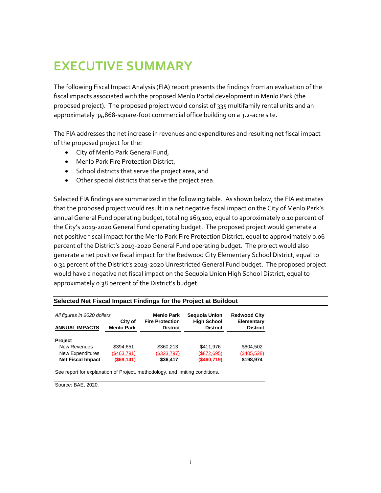### <span id="page-4-0"></span>**EXECUTIVE SUMMARY**

The following Fiscal Impact Analysis (FIA) report presents the findings from an evaluation of the fiscal impacts associated with the proposed Menlo Portal development in Menlo Park (the proposed project). The proposed project would consist of 335 multifamily rental units and an approximately 34,868-square-foot commercial office building on a 3.2-acre site.

The FIA addresses the net increase in revenues and expenditures and resulting net fiscal impact of the proposed project for the:

- City of Menlo Park General Fund,
- Menlo Park Fire Protection District,
- School districts that serve the project area, and
- Other special districts that serve the project area.

Selected FIA findings are summarized in the following table. As shown below, the FIA estimates that the proposed project would result in a net negative fiscal impact on the City of Menlo Park's annual General Fund operating budget, totaling \$69,100, equal to approximately 0.10 percent of the City's 2019-2020 General Fund operating budget. The proposed project would generate a net positive fiscal impact for the Menlo Park Fire Protection District, equal to approximately 0.06 percent of the District's 2019-2020 General Fund operating budget. The project would also generate a net positive fiscal impact for the Redwood City Elementary School District, equal to 0.31 percent of the District's 2019-2020 Unrestricted General Fund budget. The proposed project would have a negative net fiscal impact on the Sequoia Union High School District, equal to approximately 0.38 percent of the District's budget.

| All figures in 2020 dollars | City of           | <b>Menlo Park</b><br><b>Fire Protection</b> | <b>Sequoia Union</b><br><b>High School</b> | <b>Redwood City</b><br>Elementary |
|-----------------------------|-------------------|---------------------------------------------|--------------------------------------------|-----------------------------------|
| <b>ANNUAL IMPACTS</b>       | <b>Menlo Park</b> | <b>District</b>                             | <b>District</b>                            | <b>District</b>                   |
| Project                     |                   |                                             |                                            |                                   |
| <b>New Revenues</b>         | \$394.651         | \$360.213                                   | \$411.976                                  | \$604.502                         |
| New Expenditures            | (\$463,791)       | (\$323,797)                                 | (\$872,695)                                | (\$405,528)                       |
| <b>Net Fiscal Impact</b>    | (S69, 141)        | \$36,417                                    | (\$460,719)                                | \$198,974                         |

#### **Selected Net Fiscal Impact Findings for the Project at Buildout**

See report for explanation of Project, methodology, and limiting conditions.

Source: BAE, 2020.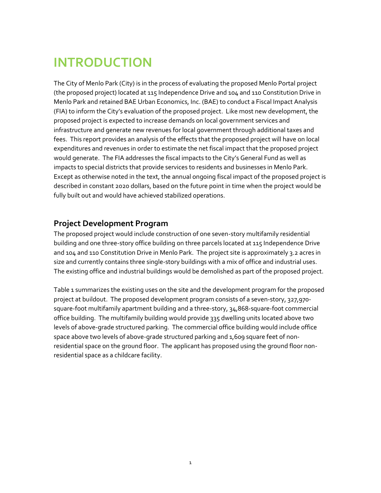### <span id="page-5-0"></span>**INTRODUCTION**

The City of Menlo Park (City) is in the process of evaluating the proposed Menlo Portal project (the proposed project) located at 115 Independence Drive and 104 and 110 Constitution Drive in Menlo Park and retained BAE Urban Economics, Inc. (BAE) to conduct a Fiscal Impact Analysis (FIA) to inform the City's evaluation of the proposed project. Like most new development, the proposed project is expected to increase demands on local government services and infrastructure and generate new revenues for local government through additional taxes and fees. This report provides an analysis of the effects that the proposed project will have on local expenditures and revenues in order to estimate the net fiscal impact that the proposed project would generate. The FIA addresses the fiscal impacts to the City's General Fund as well as impacts to special districts that provide services to residents and businesses in Menlo Park. Except as otherwise noted in the text, the annual ongoing fiscal impact of the proposed project is described in constant 2020 dollars, based on the future point in time when the project would be fully built out and would have achieved stabilized operations.

### <span id="page-5-1"></span>**Project Development Program**

The proposed project would include construction of one seven-story multifamily residential building and one three-story office building on three parcels located at 115 Independence Drive and 104 and 110 Constitution Drive in Menlo Park. The project site is approximately 3.2 acres in size and currently contains three single-story buildings with a mix of office and industrial uses. The existing office and industrial buildings would be demolished as part of the proposed project.

[Table 1](#page-6-0) summarizes the existing uses on the site and the development program for the proposed project at buildout. The proposed development program consists of a seven-story, 327,970 square-foot multifamily apartment building and a three-story, 34,868-square-foot commercial office building. The multifamily building would provide 335 dwelling units located above two levels of above-grade structured parking. The commercial office building would include office space above two levels of above-grade structured parking and 1,609 square feet of nonresidential space on the ground floor. The applicant has proposed using the ground floor nonresidential space as a childcare facility.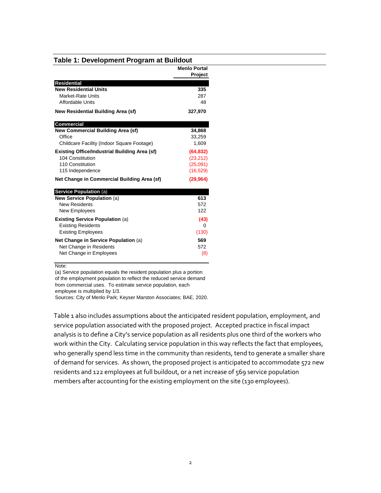|                                                      | <b>Menlo Portal</b><br>Project |
|------------------------------------------------------|--------------------------------|
| <b>Residential</b>                                   |                                |
| <b>New Residential Units</b>                         | 335                            |
| Market-Rate Units                                    | 287                            |
| <b>Affordable Units</b>                              | 48                             |
| <b>New Residential Building Area (sf)</b>            | 327,970                        |
| <b>Commercial</b>                                    |                                |
| <b>New Commercial Building Area (sf)</b>             | 34,868                         |
| Office                                               | 33,259                         |
| Childcare Facility (Indoor Square Footage)           | 1,609                          |
| <b>Existing Office/Industrial Building Area (sf)</b> | (64, 832)                      |
| 104 Constitution                                     | (23, 212)                      |
| 110 Constitution                                     | (25,091)                       |
| 115 Independence                                     | (16, 529)                      |
| Net Change in Commercial Building Area (sf)          | (29, 964)                      |
| <b>Service Population (a)</b>                        |                                |
| New Service Population (a)                           | 613                            |
| <b>New Residents</b>                                 | 572                            |
| New Employees                                        | 122                            |
| <b>Existing Service Population (a)</b>               | (43)                           |
| <b>Existing Residents</b>                            | $\Omega$                       |
| <b>Existing Employees</b>                            | (130)                          |
| Net Change in Service Population (a)                 | 569                            |
| Net Change in Residents                              | 572                            |
|                                                      |                                |

#### <span id="page-6-0"></span>**Table 1: Development Program at Buildout**

Note:

(a) Service population equals the resident population plus a portion of the employment population to reflect the reduced service demand from commercial uses. To estimate service population, each employee is multiplied by 1/3.

Sources: City of Menlo Park; Keyser Marston Associates; BAE, 2020.

[Table 1](#page-6-0) also includes assumptions about the anticipated resident population, employment, and service population associated with the proposed project. Accepted practice in fiscal impact analysis is to define a City's service population as all residents plus one third of the workers who work within the City. Calculating service population in this way reflects the fact that employees, who generally spend less time in the community than residents, tend to generate a smaller share of demand for services. As shown, the proposed project is anticipated to accommodate 572 new residents and 122 employees at full buildout, or a net increase of 569 service population members after accounting for the existing employment on the site (130 employees).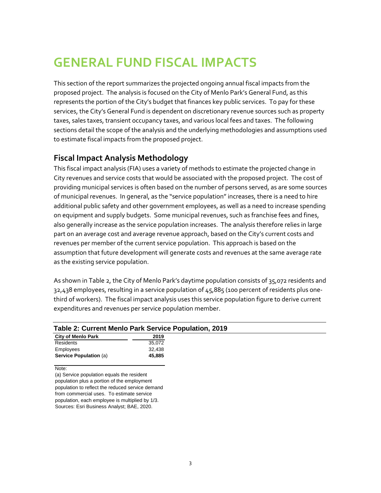### <span id="page-7-0"></span>**GENERAL FUND FISCAL IMPACTS**

This section of the report summarizes the projected ongoing annual fiscal impacts from the proposed project. The analysis is focused on the City of Menlo Park's General Fund, as this represents the portion of the City's budget that finances key public services. To pay for these services, the City's General Fund is dependent on discretionary revenue sources such as property taxes, sales taxes, transient occupancy taxes, and various local fees and taxes. The following sections detail the scope of the analysis and the underlying methodologies and assumptions used to estimate fiscal impacts from the proposed project.

#### <span id="page-7-1"></span>**Fiscal Impact Analysis Methodology**

This fiscal impact analysis (FIA) uses a variety of methods to estimate the projected change in City revenues and service costs that would be associated with the proposed project. The cost of providing municipal services is often based on the number of persons served, as are some sources of municipal revenues. In general, as the "service population" increases, there is a need to hire additional public safety and other government employees, as well as a need to increase spending on equipment and supply budgets. Some municipal revenues, such as franchise fees and fines, also generally increase as the service population increases. The analysis therefore relies in large part on an average cost and average revenue approach, based on the City's current costs and revenues per member of the current service population. This approach is based on the assumption that future development will generate costs and revenues at the same average rate as the existing service population.

As shown i[n Table 2](#page-7-2), the City of Menlo Park's daytime population consists of 35,072 residents and 32,438 employees, resulting in a service population of 45,885 (100 percent of residents plus onethird of workers). The fiscal impact analysis uses this service population figure to derive current expenditures and revenues per service population member.

<span id="page-7-2"></span>

| <b>City of Menlo Park</b>     | 2019   |
|-------------------------------|--------|
| Residents                     | 35.072 |
| Employees                     | 32.438 |
| <b>Service Population (a)</b> | 45.885 |

(a) Service population equals the resident population plus a portion of the employment population to reflect the reduced service demand from commercial uses. To estimate service population, each employee is multiplied by 1/3. Sources: Esri Business Analyst; BAE, 2020.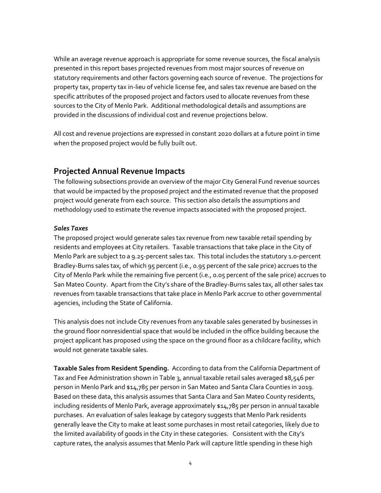While an average revenue approach is appropriate for some revenue sources, the fiscal analysis presented in this report bases projected revenues from most major sources of revenue on statutory requirements and other factors governing each source of revenue. The projections for property tax, property tax in-lieu of vehicle license fee, and sales tax revenue are based on the specific attributes of the proposed project and factors used to allocate revenues from these sources to the City of Menlo Park. Additional methodological details and assumptions are provided in the discussions of individual cost and revenue projections below.

All cost and revenue projections are expressed in constant 2020 dollars at a future point in time when the proposed project would be fully built out.

#### <span id="page-8-0"></span>**Projected Annual Revenue Impacts**

The following subsections provide an overview of the major City General Fund revenue sources that would be impacted by the proposed project and the estimated revenue that the proposed project would generate from each source. This section also details the assumptions and methodology used to estimate the revenue impacts associated with the proposed project.

#### *Sales Taxes*

The proposed project would generate sales tax revenue from new taxable retail spending by residents and employees at City retailers. Taxable transactions that take place in the City of Menlo Park are subject to a 9.25-percent sales tax. This total includes the statutory 1.0-percent Bradley-Burns sales tax, of which 95 percent (i.e., 0.95 percent of the sale price) accrues to the City of Menlo Park while the remaining five percent (i.e., 0.05 percent of the sale price) accrues to San Mateo County. Apart from the City's share of the Bradley-Burns sales tax, all other sales tax revenues from taxable transactions that take place in Menlo Park accrue to other governmental agencies, including the State of California.

This analysis does not include City revenues from any taxable sales generated by businesses in the ground floor nonresidential space that would be included in the office building because the project applicant has proposed using the space on the ground floor as a childcare facility, which would not generate taxable sales.

**Taxable Sales from Resident Spending.** According to data from the California Department of Tax and Fee Administration shown in [Table 3,](#page-9-0) annual taxable retail sales averaged \$8,546 per person in Menlo Park and \$14,785 per person in San Mateo and Santa Clara Counties in 2019. Based on these data, this analysis assumes that Santa Clara and San Mateo County residents, including residents of Menlo Park, average approximately \$14,785 per person in annual taxable purchases. An evaluation of sales leakage by category suggests that Menlo Park residents generally leave the City to make at least some purchases in most retail categories, likely due to the limited availability of goods in the City in these categories. Consistent with the City's capture rates, the analysis assumes that Menlo Park will capture little spending in these high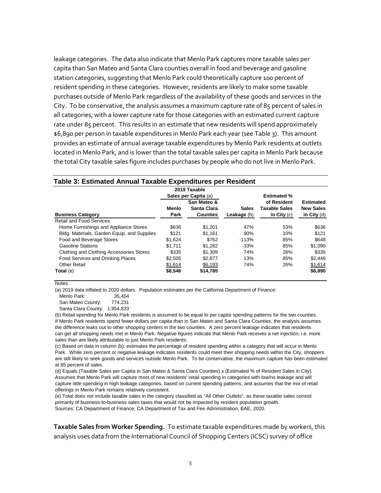leakage categories. The data also indicate that Menlo Park captures more taxable sales per capita than San Mateo and Santa Clara counties overall in food and beverage and gasoline station categories, suggesting that Menlo Park could theoretically capture 100 percent of resident spending in these categories. However, residents are likely to make some taxable purchases outside of Menlo Park regardless of the availability of these goods and services in the City. To be conservative, the analysis assumes a maximum capture rate of 85 percent of sales in all categories, with a lower capture rate for those categories with an estimated current capture rate under 85 percent. This results in an estimate that new residents will spend approximately \$6,890 per person in taxable expenditures in Menlo Park each year (se[e Table 3\)](#page-9-0). This amount provides an estimate of annual average taxable expenditures by Menlo Park residents at outlets located in Menlo Park, and is lower than the total taxable sales per capita in Menlo Park because the total City taxable sales figure includes purchases by people who do not live in Menlo Park.

|                                             |         | 2019 Taxable                        |              | <b>Estimated %</b>   |                  |
|---------------------------------------------|---------|-------------------------------------|--------------|----------------------|------------------|
|                                             |         | Sales per Capita (a)<br>San Mateo & |              | of Resident          | <b>Estimated</b> |
|                                             | Menlo   | Santa Clara                         | <b>Sales</b> | <b>Taxable Sales</b> | <b>New Sales</b> |
| <b>Business Category</b>                    | Park    | <b>Counties</b>                     | Leakage (b)  | in City $(c)$        | in City (d)      |
| Retail and Food Services                    |         |                                     |              |                      |                  |
| Home Furnishings and Appliance Stores       | \$636   | \$1.201                             | 47%          | 53%                  | \$636            |
| Bldg. Materials, Garden Equip. and Supplies | \$121   | \$1.161                             | 90%          | 10%                  | \$121            |
| Food and Beverage Stores                    | \$1.624 | \$762                               | $-113%$      | 85%                  | \$648            |
| <b>Gasoline Stations</b>                    | \$1.711 | \$1.282                             | $-33%$       | 85%                  | \$1,090          |
| Clothing and Clothing Accessories Stores    | \$335   | \$1.309                             | 74%          | 26%                  | \$335            |
| Food Services and Drinking Places           | \$2,505 | \$2.877                             | 13%          | 85%                  | \$2,446          |
| Other Retail                                | \$1,614 | \$6,193                             | 74%          | 26%                  | \$1,614          |
| Total (e)                                   | \$8,546 | \$14,785                            |              |                      | \$6,890          |

#### <span id="page-9-0"></span>**Table 3: Estimated Annual Taxable Expenditures per Resident**

Notes:

(a) 2019 data inflated to 2020 dollars. Population estimates per the California Department of Finance:

Menlo Park: 35.454

San Mateo County: 774,231

Santa Clara County: 1,954,833

(b) Retail spending for Menlo Park residents is assumed to be equal to per capita spending patterns for the two counties. If Menlo Park residents spend fewer dollars per capita than in San Mateo and Santa Clara Counties, the analysis assumes the difference leaks out to other shopping centers in the two counties. A zero percent leakage indicates that residents can get all shopping needs met in Menlo Park. Negative figures indicate that Menlo Park receives a net injection, i.e. more sales than are likely attributable to just Menlo Park residents.

(c) Based on data in column (b); estimates the percentage of resident spending within a category that will occur in Menlo Park. While zero percent or negative leakage indicates residents could meet their shopping needs within the City, shoppers are still likely to seek goods and services outside Menlo Park. To be conservative, the maximum capture has been estimated at 85 percent of sales.

(d) Equals (Taxable Sales per Capita in San Mateo & Santa Clara Counties) x (Estimated % of Resident Sales in City). Assumes that Menlo Park will capture most of new residents' retail spending in categories with low/no leakage and will capture little spending in high leakage categories, based on current spending patterns, and assumes that the mix of retail offerings in Menlo Park remains relatively consistent.

(e) Total does not include taxable sales in the category classified as "All Other Outlets", as these taxable sales consist primarily of business-to-business sales taxes that would not be impacted by resident population growth. Sources: CA Department of Finance; CA Department of Tax and Fee Administration; BAE, 2020.

**Taxable Sales from Worker Spending.** To estimate taxable expenditures made by workers, this analysis uses data from the International Council of Shopping Centers (ICSC) survey of office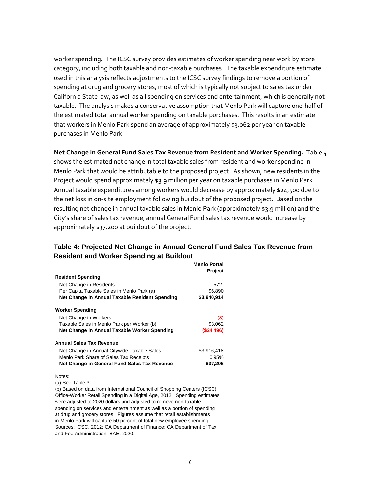worker spending. The ICSC survey provides estimates of worker spending near work by store category, including both taxable and non-taxable purchases. The taxable expenditure estimate used in this analysis reflects adjustments to the ICSC survey findings to remove a portion of spending at drug and grocery stores, most of which is typically not subject to sales tax under California State law, as well as all spending on services and entertainment, which is generally not taxable. The analysis makes a conservative assumption that Menlo Park will capture one-half of the estimated total annual worker spending on taxable purchases. This results in an estimate that workers in Menlo Park spend an average of approximately \$3,062 per year on taxable purchases in Menlo Park.

**Net Change in General Fund Sales Tax Revenue from Resident and Worker Spending.** [Table 4](#page-10-0) shows the estimated net change in total taxable sales from resident and worker spending in Menlo Park that would be attributable to the proposed project. As shown, new residents in the Project would spend approximately \$3.9 million per year on taxable purchases in Menlo Park. Annual taxable expenditures among workers would decrease by approximately \$24,500 due to the net loss in on-site employment following buildout of the proposed project. Based on the resulting net change in annual taxable sales in Menlo Park (approximately \$3.9 million) and the City's share of sales tax revenue, annual General Fund sales tax revenue would increase by approximately \$37,200 at buildout of the project.

|                                                | <b>Menlo Portal</b> |
|------------------------------------------------|---------------------|
| <b>Resident Spending</b>                       | <b>Project</b>      |
|                                                |                     |
| Net Change in Residents                        | 572                 |
| Per Capita Taxable Sales in Menlo Park (a)     | \$6,890             |
| Net Change in Annual Taxable Resident Spending | \$3,940,914         |
| <b>Worker Spending</b>                         |                     |
| Net Change in Workers                          | (8)                 |
| Taxable Sales in Menlo Park per Worker (b)     | \$3,062             |
| Net Change in Annual Taxable Worker Spending   | (S24, 496)          |
| <b>Annual Sales Tax Revenue</b>                |                     |
| Net Change in Annual Citywide Taxable Sales    | \$3,916,418         |
| Menlo Park Share of Sales Tax Receipts         | 0.95%               |
| Net Change in General Fund Sales Tax Revenue   | \$37,206            |

#### <span id="page-10-0"></span>**Table 4: Projected Net Change in Annual General Fund Sales Tax Revenue from Resident and Worker Spending at Buildout**

Notes:

(a) See Table 3.

(b) Based on data from International Council of Shopping Centers (ICSC), Office-Worker Retail Spending in a Digital Age, 2012. Spending estimates were adjusted to 2020 dollars and adjusted to remove non-taxable spending on services and entertainment as well as a portion of spending at drug and grocery stores. Figures assume that retail establishments in Menlo Park will capture 50 percent of total new employee spending. Sources: ICSC, 2012; CA Department of Finance; CA Department of Tax and Fee Administration; BAE, 2020.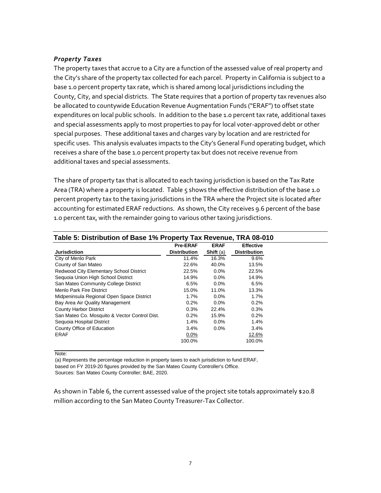#### *Property Taxes*

The property taxes that accrue to a City are a function of the assessed value of real property and the City's share of the property tax collected for each parcel. Property in California is subject to a base 1.0 percent property tax rate, which is shared among local jurisdictions including the County, City, and special districts. The State requires that a portion of property tax revenues also be allocated to countywide Education Revenue Augmentation Funds ("ERAF") to offset state expenditures on local public schools. In addition to the base 1.0 percent tax rate, additional taxes and special assessments apply to most properties to pay for local voter-approved debt or other special purposes. These additional taxes and charges vary by location and are restricted for specific uses. This analysis evaluates impacts to the City's General Fund operating budget, which receives a share of the base 1.0 percent property tax but does not receive revenue from additional taxes and special assessments.

The share of property tax that is allocated to each taxing jurisdiction is based on the Tax Rate Area (TRA) where a property is located. [Table 5](#page-11-0) shows the effective distribution of the base 1.0 percent property tax to the taxing jurisdictions in the TRA where the Project site is located after accounting for estimated ERAF reductions. As shown, the City receives 9.6 percent of the base 1.0 percent tax, with the remainder going to various other taxing jurisdictions.

<span id="page-11-0"></span>

|                                               | <b>Pre-ERAF</b>     | <b>ERAF</b> | <b>Effective</b>    |
|-----------------------------------------------|---------------------|-------------|---------------------|
| <b>Jurisdiction</b>                           | <b>Distribution</b> | Shift (a)   | <b>Distribution</b> |
| City of Menlo Park                            | 11.4%               | 16.3%       | 9.6%                |
| County of San Mateo                           | 22.6%               | 40.0%       | 13.5%               |
| Redwood City Elementary School District       | 22.5%               | $0.0\%$     | 22.5%               |
| Sequoia Union High School District            | 14.9%               | $0.0\%$     | 14.9%               |
| San Mateo Community College District          | 6.5%                | $0.0\%$     | 6.5%                |
| Menlo Park Fire District                      | 15.0%               | 11.0%       | 13.3%               |
| Midpeninsula Regional Open Space District     | $1.7\%$             | $0.0\%$     | $1.7\%$             |
| Bay Area Air Quality Management               | 0.2%                | $0.0\%$     | 0.2%                |
| <b>County Harbor District</b>                 | 0.3%                | 22.4%       | 0.3%                |
| San Mateo Co. Mosquito & Vector Control Dist. | 0.2%                | 15.9%       | 0.2%                |
| Sequoia Hospital District                     | 1.4%                | $0.0\%$     | 1.4%                |
| County Office of Education                    | $3.4\%$             | $0.0\%$     | 3.4%                |
| ERAF                                          | $0.0\%$             |             | 12.6%               |
|                                               | 100.0%              |             | 100.0%              |

Note:

(a) Represents the percentage reduction in property taxes to each jurisdiction to fund ERAF, based on FY 2019-20 figures provided by the San Mateo County Controller's Office.

Sources: San Mateo County Controller; BAE, 2020.

As shown i[n Table 6,](#page-12-0) the current assessed value of the project site totals approximately \$20.8 million according to the San Mateo County Treasurer-Tax Collector.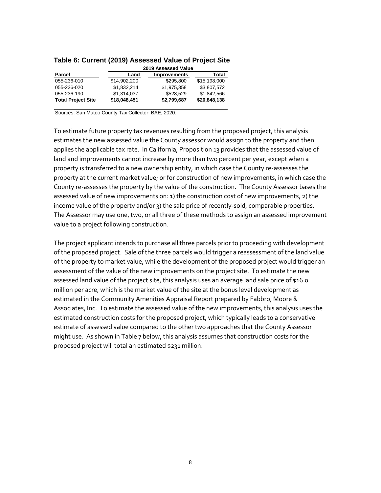| Table 6: Current (2019) Assessed Value of Project Site |              |                     |              |
|--------------------------------------------------------|--------------|---------------------|--------------|
|                                                        |              | 2019 Assessed Value |              |
| Parcel                                                 | Land         | <b>Improvements</b> | Total        |
| 055-236-010                                            | \$14,902,200 | \$295.800           | \$15,198,000 |
| 055-236-020                                            | \$1.832.214  | \$1.975.358         | \$3.807.572  |
| 055-236-190                                            | \$1,314,037  | \$528.529           | \$1,842,566  |
| <b>Total Project Site</b>                              | \$18,048,451 | \$2,799,687         | \$20,848,138 |

<span id="page-12-0"></span>**Table 6: Current (2019) Assessed Value of Project Site**

Sources: San Mateo County Tax Collector; BAE, 2020.

To estimate future property tax revenues resulting from the proposed project, this analysis estimates the new assessed value the County assessor would assign to the property and then applies the applicable tax rate. In California, Proposition 13 provides that the assessed value of land and improvements cannot increase by more than two percent per year, except when a property is transferred to a new ownership entity, in which case the County re-assesses the property at the current market value; or for construction of new improvements, in which case the County re-assesses the property by the value of the construction. The County Assessor bases the assessed value of new improvements on: 1) the construction cost of new improvements, 2) the income value of the property and/or 3) the sale price of recently-sold, comparable properties. The Assessor may use one, two, or all three of these methods to assign an assessed improvement value to a project following construction.

The project applicant intends to purchase all three parcels prior to proceeding with development of the proposed project. Sale of the three parcels would trigger a reassessment of the land value of the property to market value, while the development of the proposed project would trigger an assessment of the value of the new improvements on the project site. To estimate the new assessed land value of the project site, this analysis uses an average land sale price of \$16.0 million per acre, which is the market value of the site at the bonus level development as estimated in the Community Amenities Appraisal Report prepared by Fabbro, Moore & Associates, Inc. To estimate the assessed value of the new improvements, this analysis uses the estimated construction costs for the proposed project, which typically leads to a conservative estimate of assessed value compared to the other two approaches that the County Assessor might use. As shown in [Table 7](#page-13-0) below, this analysis assumes that construction costs for the proposed project will total an estimated \$231 million.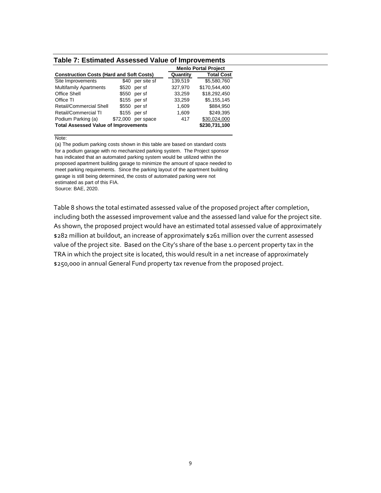#### <span id="page-13-0"></span>**Table 7: Estimated Assessed Value of Improvements**

|          |             |                                                                                                                                           | <b>Menlo Portal Project</b> |
|----------|-------------|-------------------------------------------------------------------------------------------------------------------------------------------|-----------------------------|
|          |             | Quantity                                                                                                                                  | <b>Total Cost</b>           |
| \$40     | per site sf | 139,519                                                                                                                                   | \$5,580,760                 |
| \$520    | per sf      | 327,970                                                                                                                                   | \$170,544.400               |
| \$550    | per sf      | 33,259                                                                                                                                    | \$18,292,450                |
|          |             | 33,259                                                                                                                                    | \$5,155,145                 |
|          | per sf      | 1,609                                                                                                                                     | \$884.950                   |
|          |             | 1,609                                                                                                                                     | \$249.395                   |
| \$72,000 | per space   | 417                                                                                                                                       | \$30,024,000                |
|          |             |                                                                                                                                           | \$230,731,100               |
|          |             | <b>Construction Costs (Hard and Soft Costs)</b><br>$$155$ per sf<br>\$550<br>$$155$ per sf<br><b>Total Assessed Value of Improvements</b> |                             |

Note:

(a) The podium parking costs shown in this table are based on standard costs for a podium garage with no mechanized parking system. The Project sponsor has indicated that an automated parking system would be utilized within the proposed apartment building garage to minimize the amount of space needed to meet parking requirements. Since the parking layout of the apartment building garage is still being determined, the costs of automated parking were not estimated as part of this FIA. Source: BAE, 2020.

Table 8 shows the total estimated assessed value of the proposed project after completion, including both the assessed improvement value and the assessed land value for the project site. As shown, the proposed project would have an estimated total assessed value of approximately \$282 million at buildout, an increase of approximately \$261 million over the current assessed value of the project site. Based on the City's share of the base 1.0 percent property tax in the TRA in which the project site is located, this would result in a net increase of approximately \$250,000 in annual General Fund property tax revenue from the proposed project.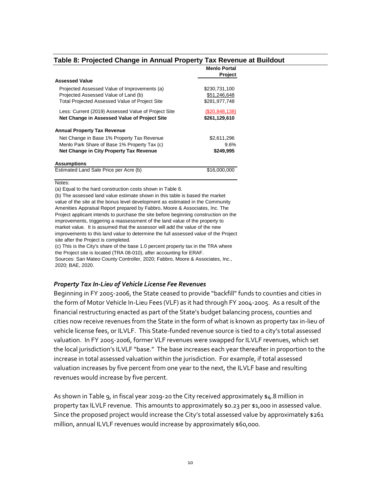#### <span id="page-14-0"></span>**Table 8: Projected Change in Annual Property Tax Revenue at Buildout**

**Menlo Portal**

|                                                       | Menio Portal<br>Project |
|-------------------------------------------------------|-------------------------|
| <b>Assessed Value</b>                                 |                         |
| Projected Assessed Value of Improvements (a)          | \$230,731,100           |
| Projected Assessed Value of Land (b)                  | \$51,246,648            |
| <b>Total Projected Assessed Value of Project Site</b> | \$281,977,748           |
| Less: Current (2019) Assessed Value of Project Site   | (S20, 848, 138)         |
| Net Change in Assessed Value of Project Site          | \$261,129,610           |
| <b>Annual Property Tax Revenue</b>                    |                         |
| Net Change in Base 1% Property Tax Revenue            | \$2,611,296             |
| Menlo Park Share of Base 1% Property Tax (c)          | 9.6%                    |
| Net Change in City Property Tax Revenue               | \$249,995               |
| <b>Assumptions</b>                                    |                         |
| Estimated Land Sale Price per Acre (b)                | \$16,000,000            |
|                                                       |                         |

Notes:

(a) Equal to the hard construction costs shown in Table 8.

(b) The assessed land value estimate shown in this table is based the market value of the site at the bonus level development as estimated in the Community Amenities Appraisal Report prepared by Fabbro, Moore & Associates, Inc. The Project applicant intends to purchase the site before beginning construction on the improvements, triggering a reassessment of the land value of the property to market value. It is assumed that the assessor will add the value of the new improvements to this land value to determine the full assessed value of the Project site after the Project is completed.

(c) This is the City's share of the base 1.0 percent property tax in the TRA where the Project site is located (TRA 08-010), after accounting for ERAF. Sources: San Mateo County Controller, 2020; Fabbro, Moore & Associates, Inc., 2020; BAE, 2020.

#### *Property Tax In-Lieu of Vehicle License Fee Revenues*

Beginning in FY 2005-2006, the State ceased to provide "backfill" funds to counties and cities in the form of Motor Vehicle In-Lieu Fees (VLF) as it had through FY 2004-2005. As a result of the financial restructuring enacted as part of the State's budget balancing process, counties and cities now receive revenues from the State in the form of what is known as property tax in-lieu of vehicle license fees, or ILVLF. This State-funded revenue source is tied to a city's total assessed valuation. In FY 2005-2006, former VLF revenues were swapped for ILVLF revenues, which set the local jurisdiction's ILVLF "base." The base increases each year thereafter in proportion to the increase in total assessed valuation within the jurisdiction. For example, if total assessed valuation increases by five percent from one year to the next, the ILVLF base and resulting revenues would increase by five percent.

As shown i[n Table 9,](#page-15-0) in fiscal year 2019-20 the City received approximately \$4.8 million in property tax ILVLF revenue. This amounts to approximately \$0.23 per \$1,000 in assessed value. Since the proposed project would increase the City's total assessed value by approximately \$261 million, annual ILVLF revenues would increase by approximately \$60,000.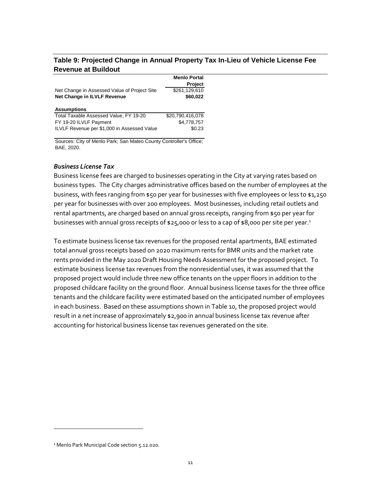#### <span id="page-15-0"></span>**Table 9: Projected Change in Annual Property Tax In-Lieu of Vehicle License Fee Revenue at Buildout**

|                                              | <b>Menlo Portal</b> |
|----------------------------------------------|---------------------|
|                                              | Project             |
| Net Change in Assessed Value of Project Site | \$261,129,610       |
| Net Change in ILVLF Revenue                  | \$60,022            |
|                                              |                     |
|                                              |                     |
| <b>Assumptions</b>                           |                     |
| Total Taxable Assessed Value, FY 19-20       | \$20.790.416.078    |
| FY 19-20 ILVLF Payment                       | \$4.778.757         |

Sources: City of Menlo Park; San Mateo County Controller's Office; BAE, 2020.

#### *Business License Tax*

Business license fees are charged to businesses operating in the City at varying rates based on business types. The City charges administrative offices based on the number of employees at the business, with fees ranging from \$50 per year for businesses with five employees or less to \$1,250 per year for businesses with over 200 employees. Most businesses, including retail outlets and rental apartments, are charged based on annual gross receipts, ranging from \$50 per year for businesses with annual gross receipts of \$25,000 or less to a cap of \$8,000 per site per year.<sup>1</sup>

To estimate business license tax revenues for the proposed rental apartments, BAE estimated total annual gross receipts based on 2020 maximum rents for BMR units and the market rate rents provided in the May 2020 Draft Housing Needs Assessment for the proposed project. To estimate business license tax revenues from the nonresidential uses, it was assumed that the proposed project would include three new office tenants on the upper floors in addition to the proposed childcare facility on the ground floor. Annual business license taxes for the three office tenants and the childcare facility were estimated based on the anticipated number of employees in each business. Based on these assumptions shown in [Table 10,](#page-16-0) the proposed project would result in a net increase of approximately \$2,900 in annual business license tax revenue after accounting for historical business license tax revenues generated on the site.

 $\overline{a}$ 

<sup>&</sup>lt;sup>1</sup> Menlo Park Municipal Code section 5.12.020.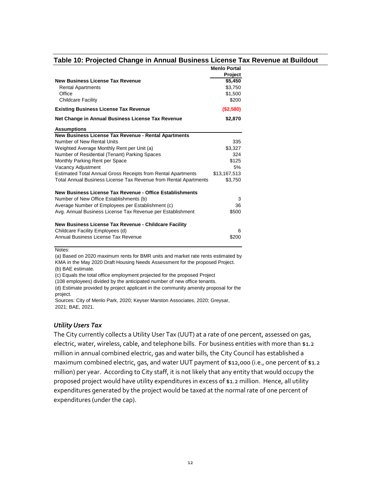#### <span id="page-16-0"></span>**Table 10: Projected Change in Annual Business License Tax Revenue at Buildout**

**Menlo Portal**

|                                                                     | Menio Portal |
|---------------------------------------------------------------------|--------------|
|                                                                     | Project      |
| <b>New Business License Tax Revenue</b>                             | \$5,450      |
| <b>Rental Apartments</b>                                            | \$3,750      |
| Office                                                              | \$1,500      |
| Childcare Facility                                                  | \$200        |
| <b>Existing Business License Tax Revenue</b>                        | (\$2,580)    |
| Net Change in Annual Business License Tax Revenue                   | \$2,870      |
| <b>Assumptions</b>                                                  |              |
| New Business License Tax Revenue - Rental Apartments                |              |
| Number of New Rental Units                                          | 335          |
| Weighted Average Monthly Rent per Unit (a)                          | \$3,327      |
| Number of Residential (Tenant) Parking Spaces                       | 324          |
| Monthly Parking Rent per Space                                      | \$125        |
| Vacancy Adjustment                                                  | 5%           |
| <b>Estimated Total Annual Gross Receipts from Rental Apartments</b> | \$13,167,513 |
| Total Annual Business License Tax Revenue from Rental Apartments    | \$3,750      |
| New Business License Tax Revenue - Office Establishments            |              |
| Number of New Office Establishments (b)                             | 3            |
| Average Number of Employees per Establishment (c)                   | 36           |
| Avg. Annual Business License Tax Revenue per Establishment          | \$500        |
| New Business License Tax Revenue - Childcare Facility               |              |
| Childcare Facility Employees (d)                                    | 6            |
| Annual Business License Tax Revenue                                 | \$200        |

Notes:

(a) Based on 2020 maximum rents for BMR units and market rate rents estimated by KMA in the May 2020 Draft Housing Needs Assessment for the proposed Project. (b) BAE estimate.

(c) Equals the total office employment projected for the proposed Project

(108 employees) divided by the anticipated number of new office tenants.

(d) Estimate provided by project applicant in the community amenity proposal for the project.

Sources: City of Menlo Park, 2020; Keyser Marston Associates, 2020; Greysar, 2021; BAE, 2021.

#### *Utility Users Tax*

The City currently collects a Utility User Tax (UUT) at a rate of one percent, assessed on gas, electric, water, wireless, cable, and telephone bills. For business entities with more than \$1.2 million in annual combined electric, gas and water bills, the City Council has established a maximum combined electric, gas, and water UUT payment of \$12,000 (i.e., one percent of \$1.2 million) per year. According to City staff, it is not likely that any entity that would occupy the proposed project would have utility expenditures in excess of \$1.2 million. Hence, all utility expenditures generated by the project would be taxed at the normal rate of one percent of expenditures (under the cap).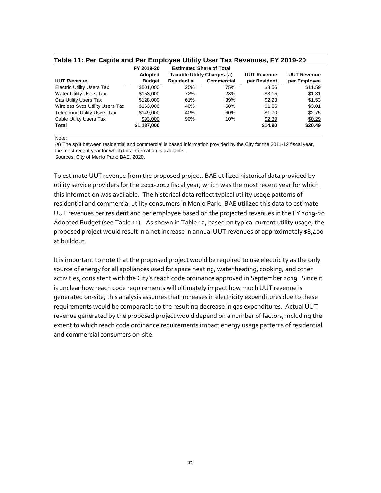#### <span id="page-17-0"></span>**Table 11: Per Capita and Per Employee Utility User Tax Revenues, FY 2019-20**

|                                    | FY 2019-20    |                    | <b>Estimated Share of Total</b> |                    |                    |
|------------------------------------|---------------|--------------------|---------------------------------|--------------------|--------------------|
|                                    | Adopted       |                    | Taxable Utility Charges (a)     | <b>UUT Revenue</b> | <b>UUT Revenue</b> |
| <b>UUT Revenue</b>                 | <b>Budget</b> | <b>Residential</b> | <b>Commercial</b>               | per Resident       | per Employee       |
| <b>Electric Utility Users Tax</b>  | \$501,000     | 25%                | 75%                             | \$3.56             | \$11.59            |
| <b>Water Utility Users Tax</b>     | \$153,000     | 72%                | 28%                             | \$3.15             | \$1.31             |
| <b>Gas Utility Users Tax</b>       | \$128,000     | 61%                | 39%                             | \$2.23             | \$1.53             |
| Wireless Svcs Utility Users Tax    | \$163,000     | 40%                | 60%                             | \$1.86             | \$3.01             |
| <b>Telephone Utility Users Tax</b> | \$149,000     | 40%                | 60%                             | \$1.70             | \$2.75             |
| Cable Utility Users Tax            | \$93,000      | 90%                | 10%                             | \$2.39             | \$0.29             |
| <b>Total</b>                       | \$1,187,000   |                    |                                 | \$14.90            | \$20.49            |

Note:

(a) The split between residential and commercial is based information provided by the City for the 2011-12 fiscal year, the most recent year for which this information is available. Sources: City of Menlo Park; BAE, 2020.

To estimate UUT revenue from the proposed project, BAE utilized historical data provided by utility service providers for the 2011-2012 fiscal year, which was the most recent year for which this information was available. The historical data reflect typical utility usage patterns of residential and commercial utility consumers in Menlo Park. BAE utilized this data to estimate UUT revenues per resident and per employee based on the projected revenues in the FY 2019-20 Adopted Budget (see [Table 11\)](#page-17-0). As shown in [Table 12,](#page-18-0) based on typical current utility usage, the proposed project would result in a net increase in annual UUT revenues of approximately \$8,400 at buildout.

It is important to note that the proposed project would be required to use electricity as the only source of energy for all appliances used for space heating, water heating, cooking, and other activities, consistent with the City's reach code ordinance approved in September 2019. Since it is unclear how reach code requirements will ultimately impact how much UUT revenue is generated on-site, this analysis assumes that increases in electricity expenditures due to these requirements would be comparable to the resulting decrease in gas expenditures. Actual UUT revenue generated by the proposed project would depend on a number of factors, including the extent to which reach code ordinance requirements impact energy usage patterns of residential and commercial consumers on-site.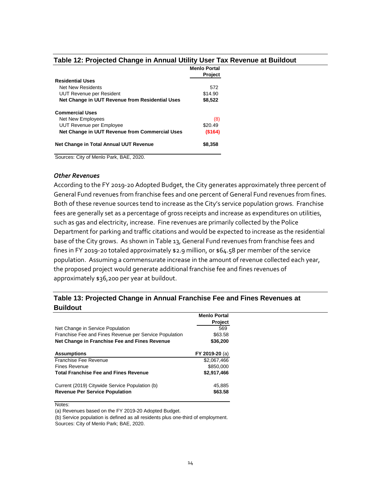<span id="page-18-0"></span>

|                                                 | <b>Menlo Portal</b><br><b>Project</b> |
|-------------------------------------------------|---------------------------------------|
| <b>Residential Uses</b>                         |                                       |
| Net New Residents                               | 572                                   |
| UUT Revenue per Resident                        | \$14.90                               |
| Net Change in UUT Revenue from Residential Uses | \$8,522                               |
| <b>Commercial Uses</b>                          |                                       |
| Net New Employees                               | (8)                                   |
| UUT Revenue per Employee                        | \$20.49                               |
| Net Change in UUT Revenue from Commercial Uses  | (\$164)                               |
| Net Change in Total Annual UUT Revenue          | \$8,358                               |

Sources: City of Menlo Park, BAE, 2020.

#### *Other Revenues*

According to the FY 2019-20 Adopted Budget, the City generates approximately three percent of General Fund revenues from franchise fees and one percent of General Fund revenues from fines. Both of these revenue sources tend to increase as the City's service population grows. Franchise fees are generally set as a percentage of gross receipts and increase as expenditures on utilities, such as gas and electricity, increase. Fine revenues are primarily collected by the Police Department for parking and traffic citations and would be expected to increase as the residential base of the City grows. As shown i[n Table 13,](#page-18-1) General Fund revenues from franchise fees and fines in FY 2019-20 totaled approximately \$2.9 million, or \$64.58 per member of the service population. Assuming a commensurate increase in the amount of revenue collected each year, the proposed project would generate additional franchise fee and fines revenues of approximately \$36,200 per year at buildout.

#### <span id="page-18-1"></span>**Table 13: Projected Change in Annual Franchise Fee and Fines Revenues at Buildout**

|                                                                                         | <b>Menlo Portal</b> |
|-----------------------------------------------------------------------------------------|---------------------|
|                                                                                         | Project             |
| Net Change in Service Population                                                        | 569                 |
| Franchise Fee and Fines Revenue per Service Population                                  | \$63.58             |
| Net Change in Franchise Fee and Fines Revenue                                           | \$36,200            |
| <b>Assumptions</b>                                                                      | FY 2019-20 (a)      |
| Franchise Fee Revenue                                                                   | \$2,067,466         |
| <b>Fines Revenue</b>                                                                    | \$850,000           |
| <b>Total Franchise Fee and Fines Revenue</b>                                            | \$2,917,466         |
| Current (2019) Citywide Service Population (b)<br><b>Revenue Per Service Population</b> | 45.885<br>\$63.58   |

Notes:

(a) Revenues based on the FY 2019-20 Adopted Budget.

(b) Service population is defined as all residents plus one-third of employment.

Sources: City of Menlo Park; BAE, 2020.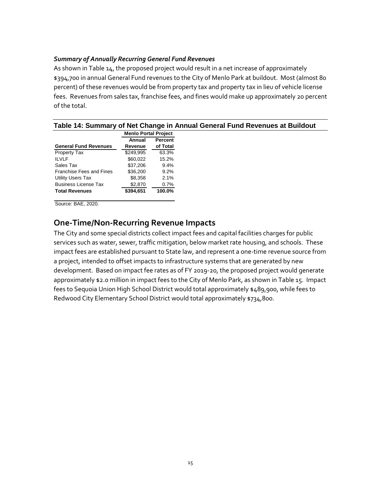#### *Summary of Annually Recurring General Fund Revenues*

As shown i[n Table 14,](#page-19-1) the proposed project would result in a net increase of approximately \$394,700 in annual General Fund revenues to the City of Menlo Park at buildout. Most (almost 80 percent) of these revenues would be from property tax and property tax in lieu of vehicle license fees. Revenues from sales tax, franchise fees, and fines would make up approximately 20 percent of the total.

<span id="page-19-1"></span>

|                                 |                             |                | Table 14: Summary of Net Change in Annual General Fund Revenues at Buildout |
|---------------------------------|-----------------------------|----------------|-----------------------------------------------------------------------------|
|                                 | <b>Menlo Portal Project</b> |                |                                                                             |
|                                 | Annual                      | <b>Percent</b> |                                                                             |
| <b>General Fund Revenues</b>    | Revenue                     | of Total       |                                                                             |
| Property Tax                    | \$249.995                   | 63.3%          |                                                                             |
| <b>ILVLF</b>                    | \$60,022                    | 15.2%          |                                                                             |
| Sales Tax                       | \$37,206                    | $9.4\%$        |                                                                             |
| <b>Franchise Fees and Fines</b> | \$36,200                    | $9.2\%$        |                                                                             |
| Utility Users Tax               | \$8,358                     | 2.1%           |                                                                             |
| <b>Business License Tax</b>     | \$2,870                     | $0.7\%$        |                                                                             |
| <b>Total Revenues</b>           | \$394,651                   | 100.0%         |                                                                             |

Source: BAE, 2020.

#### <span id="page-19-0"></span>**One-Time/Non-Recurring Revenue Impacts**

The City and some special districts collect impact fees and capital facilities charges for public services such as water, sewer, traffic mitigation, below market rate housing, and schools. These impact fees are established pursuant to State law, and represent a one-time revenue source from a project, intended to offset impacts to infrastructure systems that are generated by new development. Based on impact fee rates as of FY 2019-20, the proposed project would generate approximately \$2.0 million in impact fees to the City of Menlo Park, as shown i[n Table 15.](#page-20-1) Impact fees to Sequoia Union High School District would total approximately \$489,900, while fees to Redwood City Elementary School District would total approximately \$734,800.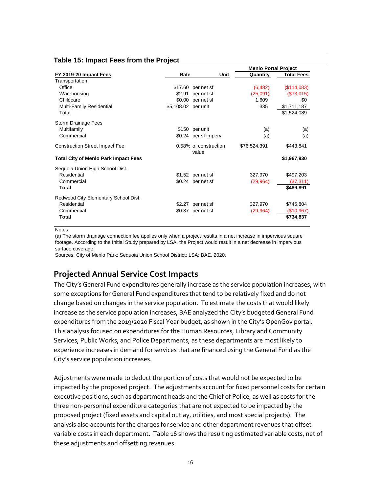#### <span id="page-20-1"></span>**Table 15: Impact Fees from the Project**

|                                             |                     |                                | <b>Menlo Portal Project</b> |                   |
|---------------------------------------------|---------------------|--------------------------------|-----------------------------|-------------------|
| FY 2019-20 Impact Fees                      | Rate                | Unit                           | Quantity                    | <b>Total Fees</b> |
| Transportation                              |                     |                                |                             |                   |
| Office                                      |                     | \$17.60 per net sf             | (6, 482)                    | (\$114,083)       |
| Warehousing                                 | \$2.91              | per net sf                     | (25,091)                    | (\$73,015)        |
| Childcare                                   |                     | \$0.00 per net sf              | 1,609                       | \$0               |
| Multi-Family Residential                    | \$5,108.02 per unit |                                | 335                         | \$1,711,187       |
| Total                                       |                     |                                |                             | \$1,524,089       |
| Storm Drainage Fees                         |                     |                                |                             |                   |
| Multifamily                                 |                     | \$150 per unit                 | (a)                         | (a)               |
| Commercial                                  |                     | \$0.24 per sf imperv.          | (a)                         | (a)               |
| <b>Construction Street Impact Fee</b>       |                     | 0.58% of construction<br>value | \$76,524,391                | \$443,841         |
| <b>Total City of Menlo Park Impact Fees</b> |                     |                                |                             | \$1,967,930       |
| Sequoia Union High School Dist.             |                     |                                |                             |                   |
| Residential                                 |                     | $$1.52$ per net sf             | 327,970                     | \$497,203         |
| Commercial                                  |                     | $$0.24$ per net sf             | (29, 964)                   | (\$7,311)         |
| Total                                       |                     |                                |                             | \$489,891         |
| Redwood City Elementary School Dist.        |                     |                                |                             |                   |
| Residential                                 |                     | \$2.27 per net sf              | 327,970                     | \$745,804         |
| Commercial                                  |                     | \$0.37 per net sf              | (29, 964)                   | (\$10,967)        |
| Total                                       |                     |                                |                             | \$734,837         |

Notes:

(a) The storm drainage connection fee applies only when a project results in a net increase in impervious square footage. According to the Initial Study prepared by LSA, the Project would result in a net decrease in impervious surface coverage.

Sources: City of Menlo Park; Sequoia Union School District; LSA; BAE, 2020.

### <span id="page-20-0"></span>**Projected Annual Service Cost Impacts**

The City's General Fund expenditures generally increase as the service population increases, with some exceptions for General Fund expenditures that tend to be relatively fixed and do not change based on changes in the service population. To estimate the costs that would likely increase as the service population increases, BAE analyzed the City's budgeted General Fund expenditures from the 2019/2020 Fiscal Year budget, as shown in the City's OpenGov portal. This analysis focused on expenditures for the Human Resources, Library and Community Services, Public Works, and Police Departments, as these departments are most likely to experience increases in demand for services that are financed using the General Fund as the City's service population increases.

Adjustments were made to deduct the portion of costs that would not be expected to be impacted by the proposed project. The adjustments account for fixed personnel costs for certain executive positions, such as department heads and the Chief of Police, as well as costs for the three non-personnel expenditure categories that are not expected to be impacted by the proposed project (fixed assets and capital outlay, utilities, and most special projects). The analysis also accounts for the charges for service and other department revenues that offset variable costs in each department. [Table 16](#page-21-0) shows the resulting estimated variable costs, net of these adjustments and offsetting revenues.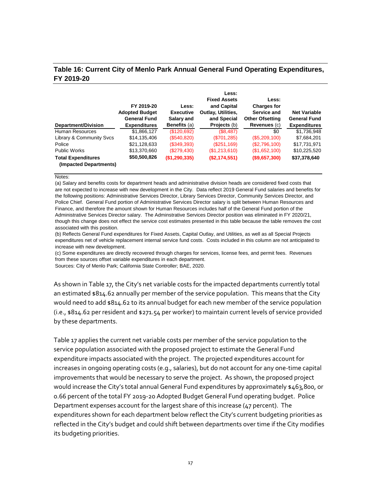#### <span id="page-21-0"></span>**Table 16: Current City of Menlo Park Annual General Fund Operating Expenditures, FY 2019-20**

| Department/Division                                 | FY 2019-20<br><b>Adopted Budget</b><br><b>General Fund</b><br><b>Expenditures</b> | Less:<br><b>Executive</b><br>Salary and<br><b>Benefits</b> (a) | Less:<br><b>Fixed Assets</b><br>and Capital<br>Outlay, Utilities.<br>and Special<br>Projects (b) | Less:<br><b>Charges for</b><br>Service and<br><b>Other Ofsetting</b><br>Revenues (c) | <b>Net Variable</b><br><b>General Fund</b><br><b>Expenditures</b> |
|-----------------------------------------------------|-----------------------------------------------------------------------------------|----------------------------------------------------------------|--------------------------------------------------------------------------------------------------|--------------------------------------------------------------------------------------|-------------------------------------------------------------------|
| Human Resources                                     | \$1,866,127                                                                       | (\$120,692)                                                    | (\$8,487)                                                                                        | \$0                                                                                  | \$1,736,948                                                       |
| Library & Community Svcs                            | \$14,135,406                                                                      | (\$540,820)                                                    | (\$701,285)                                                                                      | $(\$5,209,100)$                                                                      | \$7,684,201                                                       |
| Police                                              | \$21,128,633                                                                      | (S349,393)                                                     | (\$251,169)                                                                                      | (\$2,796,100)                                                                        | \$17,731,971                                                      |
| <b>Public Works</b>                                 | \$13,370,660                                                                      | (\$279,430)                                                    | (\$1,213,610)                                                                                    | (\$1,652,100)                                                                        | \$10,225,520                                                      |
| <b>Total Expenditures</b><br>(Impacted Departments) | \$50,500,826                                                                      | (\$1,290,335)                                                  | (S2, 174, 551)                                                                                   | (\$9,657,300)                                                                        | \$37,378,640                                                      |

#### Notes:

(a) Salary and benefits costs for department heads and administrative division heads are considered fixed costs that are not expected to increase with new development in the City. Data reflect 2019 General Fund salaries and benefits for the following positions: Administrative Services Director, Library Services Director, Community Services Director, and Police Chief. General Fund portion of Administrative Services Director salary is split between Human Resources and Finance, and therefore the amount shown for Human Resources includes half of the General Fund portion of the Administrative Services Director salary. The Adminstrative Services Director position was eliminated in FY 2020/21, though this change does not effect the service cost estimates presented in this table because the table removes the cost associated with this position.

(b) Reflects General Fund expenditures for Fixed Assets, Capital Outlay, and Utilities, as well as all Special Projects expenditures net of vehicle replacement internal service fund costs. Costs included in this column are not anticipated to increase with new development.

(c) Some expenditures are directly recovered through charges for services, license fees, and permit fees. Revenues from these sources offset variable expenditures in each department.

Sources: City of Menlo Park; California State Controller; BAE, 2020.

As shown i[n Table 17](#page-22-1), the City's net variable costs for the impacted departments currently total an estimated \$814.62 annually per member of the service population. This means that the City would need to add \$814.62 to its annual budget for each new member of the service population (i.e., \$814.62 per resident and \$271.54 per worker) to maintain current levels of service provided by these departments.

[Table 17](#page-22-1) applies the current net variable costs per member of the service population to the service population associated with the proposed project to estimate the General Fund expenditure impacts associated with the project. The projected expenditures account for increases in ongoing operating costs (e.g., salaries), but do not account for any one-time capital improvements that would be necessary to serve the project. As shown, the proposed project would increase the City's total annual General Fund expenditures by approximately \$463,800, or 0.66 percent of the total FY 2019-20 Adopted Budget General Fund operating budget. Police Department expenses account for the largest share of this increase (47 percent). The expenditures shown for each department below reflect the City's current budgeting priorities as reflected in the City's budget and could shift between departments over time if the City modifies its budgeting priorities.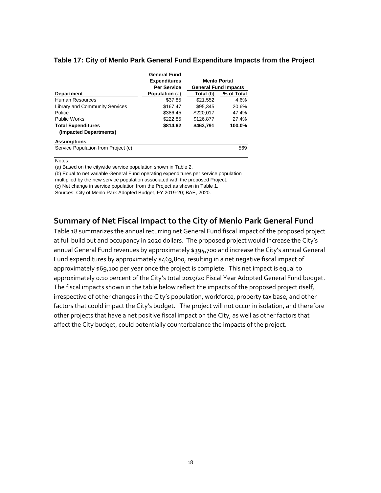#### <span id="page-22-1"></span>**Table 17: City of Menlo Park General Fund Expenditure Impacts from the Project**

|                                       | <b>General Fund</b>   |                             |            |
|---------------------------------------|-----------------------|-----------------------------|------------|
|                                       | <b>Expenditures</b>   | <b>Menlo Portal</b>         |            |
|                                       | <b>Per Service</b>    | <b>General Fund Impacts</b> |            |
| <b>Department</b>                     | <b>Population</b> (a) | <b>Total</b> (b)            | % of Total |
| Human Resources                       | \$37.85               | \$21,552                    | 4.6%       |
| <b>Library and Community Services</b> | \$167.47              | \$95.345                    | 20.6%      |
| Police                                | \$386.45              | \$220.017                   | 47.4%      |
| <b>Public Works</b>                   | \$222.85              | \$126,877                   | 27.4%      |
| <b>Total Expenditures</b>             | \$814.62              | \$463,791                   | 100.0%     |
| (Impacted Departments)                |                       |                             |            |
| <b>Assumptions</b>                    |                       |                             |            |
| Service Population from Project (c)   |                       |                             | 569        |

Notes:

(a) Based on the citywide service population shown in Table 2.

(b) Equal to net variable General Fund operating expenditures per service population

multiplied by the new service population associated with the proposed Project.

(c) Net change in service population from the Project as shown in Table 1.

Sources: City of Menlo Park Adopted Budget, FY 2019-20; BAE, 2020.

#### <span id="page-22-0"></span>**Summary of Net Fiscal Impact to the City of Menlo Park General Fund**

[Table 18](#page-23-0) summarizes the annual recurring net General Fund fiscal impact of the proposed project at full build out and occupancy in 2020 dollars. The proposed project would increase the City's annual General Fund revenues by approximately \$394,700 and increase the City's annual General Fund expenditures by approximately \$463,800, resulting in a net negative fiscal impact of approximately \$69,100 per year once the project is complete. This net impact is equal to approximately 0.10 percent of the City's total 2019/20 Fiscal Year Adopted General Fund budget. The fiscal impacts shown in the table below reflect the impacts of the proposed project itself, irrespective of other changes in the City's population, workforce, property tax base, and other factors that could impact the City's budget. The project will not occur in isolation, and therefore other projects that have a net positive fiscal impact on the City, as well as other factors that affect the City budget, could potentially counterbalance the impacts of the project.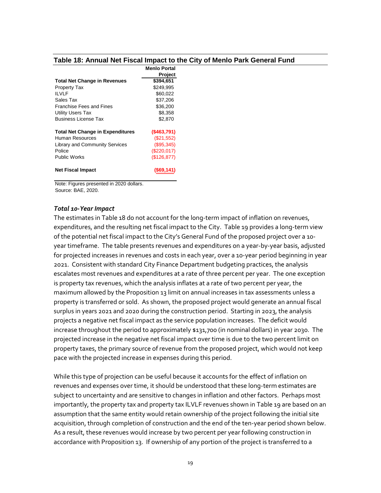#### <span id="page-23-0"></span>**Table 18: Annual Net Fiscal Impact to the City of Menlo Park General Fund**

|                                         | <b>Menlo Portal</b> |
|-----------------------------------------|---------------------|
|                                         | Project             |
| <b>Total Net Change in Revenues</b>     | \$394,651           |
| <b>Property Tax</b>                     | \$249.995           |
| II VI F                                 | \$60,022            |
| Sales Tax                               | \$37,206            |
| <b>Franchise Fees and Fines</b>         | \$36,200            |
| <b>Utility Users Tax</b>                | \$8,358             |
| <b>Business License Tax</b>             | \$2.870             |
| <b>Total Net Change in Expenditures</b> | $($ \$463,791)      |
| Human Resources                         | (S21, 552)          |
| <b>Library and Community Services</b>   | (\$95,345)          |
| Police                                  | (\$220,017)         |
| Public Works                            | (\$126,877)         |
| <b>Net Fiscal Impact</b>                | '\$69.141           |

Note: Figures presented in 2020 dollars. Source: BAE, 2020.

#### *Total 10-Year Impact*

The estimates i[n Table 18](#page-23-0) do not account for the long-term impact of inflation on revenues, expenditures, and the resulting net fiscal impact to the City. [Table 19](#page-25-0) provides a long-term view of the potential net fiscal impact to the City's General Fund of the proposed project over a 10 year timeframe. The table presents revenues and expenditures on a year-by-year basis, adjusted for projected increases in revenues and costs in each year, over a 10-year period beginning in year 2021. Consistent with standard City Finance Department budgeting practices, the analysis escalates most revenues and expenditures at a rate of three percent per year. The one exception is property tax revenues, which the analysis inflates at a rate of two percent per year, the maximum allowed by the Proposition 13 limit on annual increases in tax assessments unless a property is transferred or sold. As shown, the proposed project would generate an annual fiscal surplus in years 2021 and 2020 during the construction period. Starting in 2023, the analysis projects a negative net fiscal impact as the service population increases. The deficit would increase throughout the period to approximately \$131,700 (in nominal dollars) in year 2030. The projected increase in the negative net fiscal impact over time is due to the two percent limit on property taxes, the primary source of revenue from the proposed project, which would not keep pace with the projected increase in expenses during this period.

While this type of projection can be useful because it accounts for the effect of inflation on revenues and expenses over time, it should be understood that these long-term estimates are subject to uncertainty and are sensitive to changes in inflation and other factors. Perhaps most importantly, the property tax and property tax ILVLF revenues shown i[n Table 19](#page-25-0) are based on an assumption that the same entity would retain ownership of the project following the initial site acquisition, through completion of construction and the end of the ten-year period shown below. As a result, these revenues would increase by two percent per year following construction in accordance with Proposition 13. If ownership of any portion of the project is transferred to a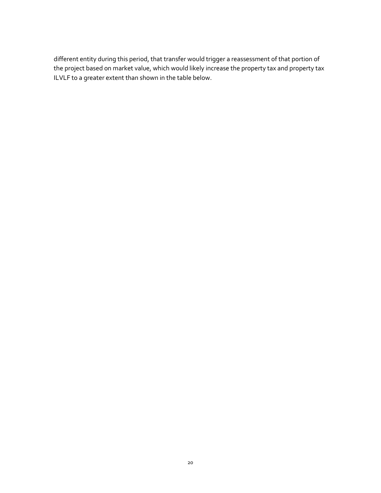different entity during this period, that transfer would trigger a reassessment of that portion of the project based on market value, which would likely increase the property tax and property tax ILVLF to a greater extent than shown in the table below.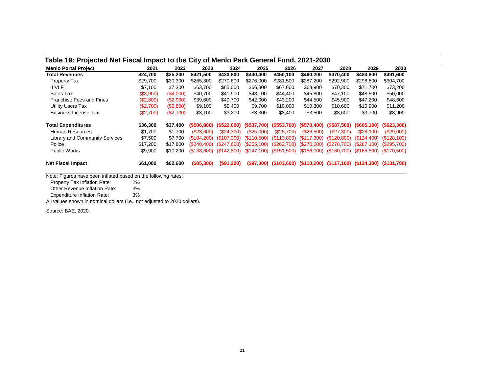#### **Table 19: Projected Net Fiscal Impact to the City of Menlo Park General Fund, 2021-2030**

| <b>Menlo Portal Project</b>           | 2021      | 2022      | 2023        | 2024                      | 2025                        | 2026                                                                   | 2027        | 2028                      | 2029                          | 2030        |
|---------------------------------------|-----------|-----------|-------------|---------------------------|-----------------------------|------------------------------------------------------------------------|-------------|---------------------------|-------------------------------|-------------|
| Total Revenues                        | \$24,700  | \$25,200  | \$421,500   | \$430,800                 | \$440,400                   | \$450,100                                                              | \$460,200   | \$470,400                 | \$480,800                     | \$491,600   |
| Property Tax                          | \$29,700  | \$30,300  | \$265,300   | \$270,600                 | \$276,000                   | \$281,500                                                              | \$287,200   | \$292.900                 | \$298.800                     | \$304,700   |
| <b>ILVLF</b>                          | \$7.100   | \$7,300   | \$63.700    | \$65,000                  | \$66,300                    | \$67,600                                                               | \$68,900    | \$70,300                  | \$71.700                      | \$73,200    |
| Sales Tax                             | (\$3,900) | (\$4,000) | \$40,700    | \$41,900                  | \$43,100                    | \$44,400                                                               | \$45,800    | \$47.100                  | \$48,500                      | \$50,000    |
| <b>Franchise Fees and Fines</b>       | (\$2,800) | (\$2,900) | \$39,600    | \$40,700                  | \$42,000                    | \$43,200                                                               | \$44,500    | \$45,900                  | \$47.200                      | \$48,600    |
| <b>Utility Users Tax</b>              | (\$2,700) | (S2,800)  | \$9,100     | \$9,400                   | \$9,700                     | \$10,000                                                               | \$10,300    | \$10,600                  | \$10,900                      | \$11,200    |
| <b>Business License Tax</b>           | (\$2,700) | (\$2,700) | \$3,100     | \$3,200                   | \$3,300                     | \$3,400                                                                | \$3,500     | \$3,600                   | \$3,700                       | \$3,900     |
| <b>Total Expenditures</b>             | \$36,300  | \$37.400  |             | $(S506.800)$ $(S522.000)$ |                             | (\$537.700) (\$553.700)                                                | (\$570,400) | (\$587.500)               | $($ \$605,100) $($ \$623,300) |             |
| <b>Human Resources</b>                | \$1.700   | \$1.700   | (S23,600)   | (S24.300)                 | (S25.000)                   | (\$25,700)                                                             | (S26,500)   | (\$27,300)                | (S28.100)                     | (S29.000)   |
| <b>Library and Community Services</b> | \$7,500   | \$7,700   | (\$104.200) | (S107,300)                | $(S110,500)$ $(S113,800)$   |                                                                        | (S117,300)  | (\$120,800)               | (\$124.400)                   | (\$128.100) |
| Police                                | \$17,200  | \$17,800  |             | $($240,400)$ $($247,600)$ | $(S255, 100)$ $(S262, 700)$ |                                                                        | (S270,600)  | (\$278,700)               | (\$287.100)                   | (\$295,700) |
| <b>Public Works</b>                   | \$9,900   | \$10,200  |             |                           |                             | $($138,600)$ $($142,800)$ $($147,100)$ $($151,500)$                    |             | $($156,000)$ $($160,700)$ | (\$165,500)                   | (\$170,500) |
| <b>Net Fiscal Impact</b>              | \$61,000  | \$62,600  | (\$85,300)  | (\$91,200)                |                             | (\$97,300) (\$103,600) (\$110,200) (\$117,100) (\$124,300) (\$131,700) |             |                           |                               |             |

<span id="page-25-0"></span>Note: Figures have been inflated based on the following rates:<br>Property Tax Inflation Rate: 2%

Property Tax Inflation Rate:

Other Revenue Inflation Rate: 3%

Expenditure Inflation Rate: 3%

All values shown in nominal dollars (i.e., not adjusted to 2020 dollars).

Source: BAE, 2020.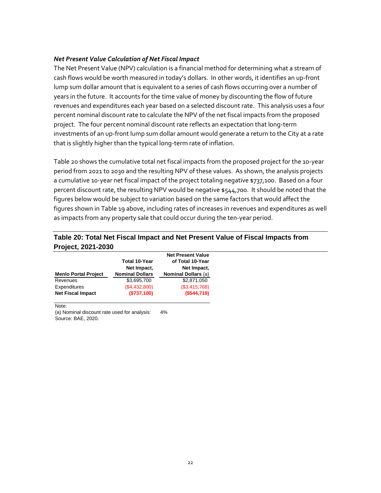#### *Net Present Value Calculation of Net Fiscal Impact*

The Net Present Value (NPV) calculation is a financial method for determining what a stream of cash flows would be worth measured in today's dollars. In other words, it identifies an up-front lump sum dollar amount that is equivalent to a series of cash flows occurring over a number of years in the future. It accounts for the time value of money by discounting the flow of future revenues and expenditures each year based on a selected discount rate. This analysis uses a four percent nominal discount rate to calculate the NPV of the net fiscal impacts from the proposed project. The four percent nominal discount rate reflects an expectation that long-term investments of an up-front lump sum dollar amount would generate a return to the City at a rate that is slightly higher than the typical long-term rate of inflation.

[Table 20](#page-26-0) shows the cumulative total net fiscal impacts from the proposed project for the 10-year period from 2021 to 2030 and the resulting NPV of these values. As shown, the analysis projects a cumulative 10-year net fiscal impact of the project totaling negative \$737,100. Based on a four percent discount rate, the resulting NPV would be negative \$544,700. It should be noted that the figures below would be subject to variation based on the same factors that would affect the figures shown i[n Table 19](#page-25-0) above, including rates of increases in revenues and expenditures as well as impacts from any property sale that could occur during the ten-year period.

#### <span id="page-26-0"></span>**Table 20: Total Net Fiscal Impact and Net Present Value of Fiscal Impacts from Project, 2021-2030**

|                             | <b>Total 10-Year</b>   | <b>Net Present Value</b><br>of Total 10-Year |
|-----------------------------|------------------------|----------------------------------------------|
|                             | Net Impact,            | Net Impact,                                  |
| <b>Menlo Portal Project</b> | <b>Nominal Dollars</b> | <b>Nominal Dollars (a)</b>                   |
| Revenues                    | \$3,695,700            | \$2,871,050                                  |
| Expenditures                | (\$4,432,800)          | (\$3,415,768)                                |
| <b>Net Fiscal Impact</b>    | (\$737,100)            | (S544, 719)                                  |

Note:

(a) Nominal discount rate used for analysis: 4% Source: BAE, 2020.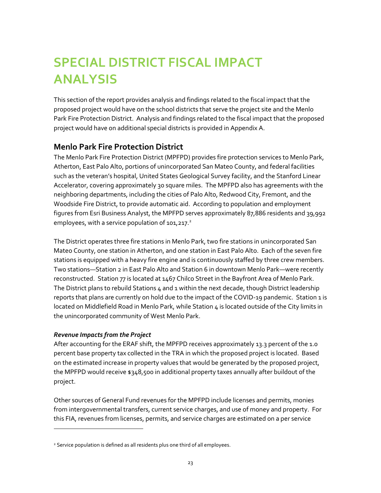## <span id="page-27-0"></span>**SPECIAL DISTRICT FISCAL IMPACT ANALYSIS**

This section of the report provides analysis and findings related to the fiscal impact that the proposed project would have on the school districts that serve the project site and the Menlo Park Fire Protection District. Analysis and findings related to the fiscal impact that the proposed project would have on additional special districts is provided in Appendix A.

### <span id="page-27-1"></span>**Menlo Park Fire Protection District**

The Menlo Park Fire Protection District (MPFPD) provides fire protection services to Menlo Park, Atherton, East Palo Alto, portions of unincorporated San Mateo County, and federal facilities such as the veteran's hospital, United States Geological Survey facility, and the Stanford Linear Accelerator, covering approximately 30 square miles. The MPFPD also has agreements with the neighboring departments, including the cities of Palo Alto, Redwood City, Fremont, and the Woodside Fire District, to provide automatic aid. According to population and employment figures from Esri Business Analyst, the MPFPD serves approximately 87,886 residents and 39,992 employees, with a service population of 101,217.<sup>2</sup>

The District operates three fire stations in Menlo Park, two fire stations in unincorporated San Mateo County, one station in Atherton, and one station in East Palo Alto. Each of the seven fire stations is equipped with a heavy fire engine and is continuously staffed by three crew members. Two stations—Station 2 in East Palo Alto and Station 6 in downtown Menlo Park—were recently reconstructed. Station 77 is located at 1467 Chilco Street in the Bayfront Area of Menlo Park. The District plans to rebuild Stations 4 and 1 within the next decade, though District leadership reports that plans are currently on hold due to the impact of the COVID-19 pandemic. Station 1 is located on Middlefield Road in Menlo Park, while Station 4 is located outside of the City limits in the unincorporated community of West Menlo Park.

#### *Revenue Impacts from the Project*

 $\overline{a}$ 

After accounting for the ERAF shift, the MPFPD receives approximately 13.3 percent of the 1.0 percent base property tax collected in the TRA in which the proposed project is located. Based on the estimated increase in property values that would be generated by the proposed project, the MPFPD would receive \$348,500 in additional property taxes annually after buildout of the project.

Other sources of General Fund revenues for the MPFPD include licenses and permits, monies from intergovernmental transfers, current service charges, and use of money and property. For this FIA, revenues from licenses, permits, and service charges are estimated on a per service

<sup>&</sup>lt;sup>2</sup> Service population is defined as all residents plus one third of all employees.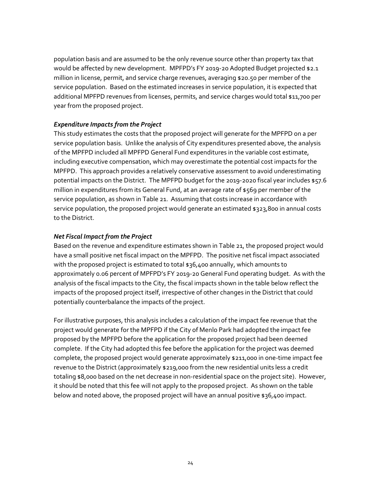population basis and are assumed to be the only revenue source other than property tax that would be affected by new development. MPFPD's FY 2019-20 Adopted Budget projected \$2.1 million in license, permit, and service charge revenues, averaging \$20.50 per member of the service population. Based on the estimated increases in service population, it is expected that additional MPFPD revenues from licenses, permits, and service charges would total \$11,700 per year from the proposed project.

#### *Expenditure Impacts from the Project*

This study estimates the costs that the proposed project will generate for the MPFPD on a per service population basis. Unlike the analysis of City expenditures presented above, the analysis of the MPFPD included all MPFPD General Fund expenditures in the variable cost estimate, including executive compensation, which may overestimate the potential cost impacts for the MPFPD. This approach provides a relatively conservative assessment to avoid underestimating potential impacts on the District. The MPFPD budget for the 2019-2020 fiscal year includes \$57.6 million in expenditures from its General Fund, at an average rate of \$569 per member of the service population, as shown in [Table 21.](#page-29-1) Assuming that costs increase in accordance with service population, the proposed project would generate an estimated \$323,800 in annual costs to the District.

#### *Net Fiscal Impact from the Project*

Based on the revenue and expenditure estimates shown in [Table 21,](#page-29-1) the proposed project would have a small positive net fiscal impact on the MPFPD. The positive net fiscal impact associated with the proposed project is estimated to total \$36,400 annually, which amounts to approximately 0.06 percent of MPFPD's FY 2019-20 General Fund operating budget. As with the analysis of the fiscal impacts to the City, the fiscal impacts shown in the table below reflect the impacts of the proposed project itself, irrespective of other changes in the District that could potentially counterbalance the impacts of the project.

For illustrative purposes, this analysis includes a calculation of the impact fee revenue that the project would generate for the MPFPD if the City of Menlo Park had adopted the impact fee proposed by the MPFPD before the application for the proposed project had been deemed complete. If the City had adopted this fee before the application for the project was deemed complete, the proposed project would generate approximately \$211,000 in one-time impact fee revenue to the District (approximately \$219,000 from the new residential units less a credit totaling \$8,000 based on the net decrease in non-residential space on the project site). However, it should be noted that this fee will not apply to the proposed project. As shown on the table below and noted above, the proposed project will have an annual positive \$36,400 impact.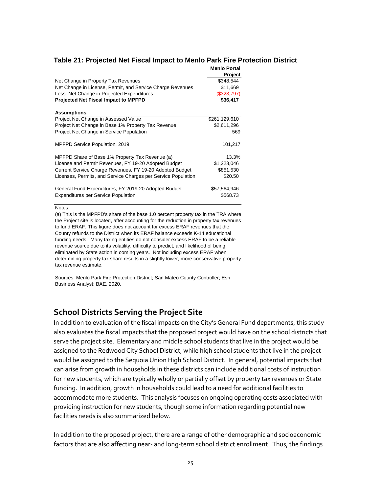#### <span id="page-29-1"></span>**Table 21: Projected Net Fiscal Impact to Menlo Park Fire Protection District**

|                                                               | <b>Menlo Portal</b> |
|---------------------------------------------------------------|---------------------|
|                                                               | Project             |
| Net Change in Property Tax Revenues                           | \$348,544           |
| Net Change in License, Permit, and Service Charge Revenues    | \$11,669            |
| Less: Net Change in Projected Expenditures                    | (\$323,797)         |
| <b>Projected Net Fiscal Impact to MPFPD</b>                   | \$36,417            |
|                                                               |                     |
| <b>Assumptions</b>                                            |                     |
| Project Net Change in Assessed Value                          | \$261,129,610       |
| Project Net Change in Base 1% Property Tax Revenue            | \$2,611,296         |
| Project Net Change in Service Population                      | 569                 |
|                                                               |                     |
| <b>MPFPD Service Population, 2019</b>                         | 101,217             |
| MPFPD Share of Base 1% Property Tax Revenue (a)               | 13.3%               |
| License and Permit Revenues, FY 19-20 Adopted Budget          | \$1,223,046         |
| Current Service Charge Revenues, FY 19-20 Adopted Budget      | \$851,530           |
|                                                               |                     |
| Licenses, Permits, and Service Charges per Service Population | \$20.50             |
| General Fund Expenditures, FY 2019-20 Adopted Budget          | \$57,564,946        |
| <b>Expenditures per Service Population</b>                    | \$568.73            |
|                                                               |                     |

#### Notes:

(a) This is the MPFPD's share of the base 1.0 percent property tax in the TRA where the Project site is located, after accounting for the reduction in property tax revenues to fund ERAF. This figure does not account for excess ERAF revenues that the County refunds to the District when its ERAF balance exceeds K-14 educational funding needs. Many taxing entities do not consider excess ERAF to be a reliable revenue source due to its volatility, difficulty to predict, and likelihood of being eliminated by State action in coming years. Not including excess ERAF when determining property tax share results in a slightly lower, more conservative property tax revenue estimate.

Sources: Menlo Park Fire Protection District; San Mateo County Controller; Esri Business Analyst; BAE, 2020.

#### <span id="page-29-0"></span>**School Districts Serving the Project Site**

In addition to evaluation of the fiscal impacts on the City's General Fund departments, this study also evaluates the fiscal impacts that the proposed project would have on the school districts that serve the project site. Elementary and middle school students that live in the project would be assigned to the Redwood City School District, while high school students that live in the project would be assigned to the Sequoia Union High School District. In general, potential impacts that can arise from growth in households in these districts can include additional costs of instruction for new students, which are typically wholly or partially offset by property tax revenues or State funding. In addition, growth in households could lead to a need for additional facilities to accommodate more students. This analysis focuses on ongoing operating costs associated with providing instruction for new students, though some information regarding potential new facilities needs is also summarized below.

In addition to the proposed project, there are a range of other demographic and socioeconomic factors that are also affecting near- and long-term school district enrollment. Thus, the findings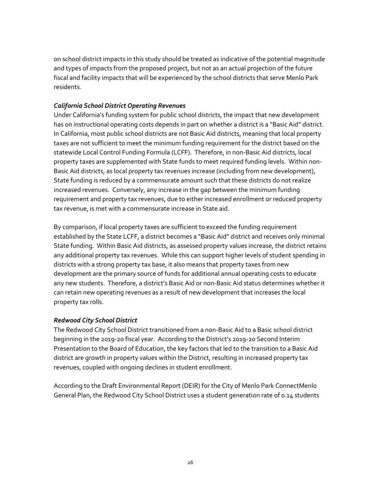on school district impacts in this study should be treated as indicative of the potential magnitude and types of impacts from the proposed project, but not as an actual projection of the future fiscal and facility impacts that will be experienced by the school districts that serve Menlo Park residents.

#### *California School District Operating Revenues*

Under California's funding system for public school districts, the impact that new development has on instructional operating costs depends in part on whether a district is a "Basic Aid" district. In California, most public school districts are not Basic Aid districts, meaning that local property taxes are not sufficient to meet the minimum funding requirement for the district based on the statewide Local Control Funding Formula (LCFF). Therefore, in non-Basic Aid districts, local property taxes are supplemented with State funds to meet required funding levels. Within non-Basic Aid districts, as local property tax revenues increase (including from new development), State funding is reduced by a commensurate amount such that these districts do not realize increased revenues. Conversely, any increase in the gap between the minimum funding requirement and property tax revenues, due to either increased enrollment or reduced property tax revenue, is met with a commensurate increase in State aid.

By comparison, if local property taxes are sufficient to exceed the funding requirement established by the State LCFF, a district becomes a "Basic Aid" district and receives only minimal State funding. Within Basic Aid districts, as assessed property values increase, the district retains any additional property tax revenues. While this can support higher levels of student spending in districts with a strong property tax base, it also means that property taxes from new development are the primary source of funds for additional annual operating costs to educate any new students. Therefore, a district's Basic Aid or non-Basic Aid status determines whether it can retain new operating revenues as a result of new development that increases the local property tax rolls.

#### *Redwood City School District*

The Redwood City School District transitioned from a non-Basic Aid to a Basic school district beginning in the 2019-20 fiscal year. According to the District's 2019-20 Second Interim Presentation to the Board of Education, the key factors that led to the transition to a Basic Aid district are growth in property values within the District, resulting in increased property tax revenues, coupled with ongoing declines in student enrollment.

According to the Draft Environmental Report (DEIR) for the City of Menlo Park ConnectMenlo General Plan, the Redwood City School District uses a student generation rate of 0.14 students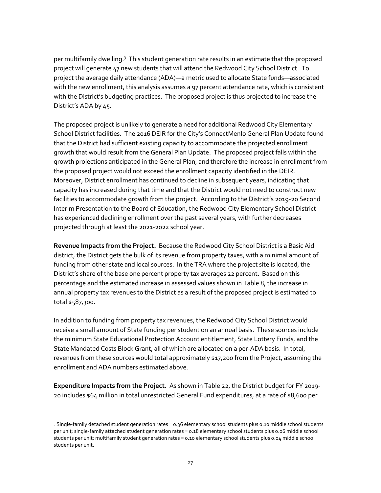per multifamily dwelling.<sup>3</sup> This student generation rate results in an estimate that the proposed project will generate 47 new students that will attend the Redwood City School District. To project the average daily attendance (ADA)—a metric used to allocate State funds—associated with the new enrollment, this analysis assumes a 97 percent attendance rate, which is consistent with the District's budgeting practices. The proposed project is thus projected to increase the District's ADA by 45.

The proposed project is unlikely to generate a need for additional Redwood City Elementary School District facilities. The 2016 DEIR for the City's ConnectMenlo General Plan Update found that the District had sufficient existing capacity to accommodate the projected enrollment growth that would result from the General Plan Update. The proposed project falls within the growth projections anticipated in the General Plan, and therefore the increase in enrollment from the proposed project would not exceed the enrollment capacity identified in the DEIR. Moreover, District enrollment has continued to decline in subsequent years, indicating that capacity has increased during that time and that the District would not need to construct new facilities to accommodate growth from the project. According to the District's 2019-20 Second Interim Presentation to the Board of Education, the Redwood City Elementary School District has experienced declining enrollment over the past several years, with further decreases projected through at least the 2021-2022 school year.

**Revenue Impacts from the Project.** Because the Redwood City School District is a Basic Aid district, the District gets the bulk of its revenue from property taxes, with a minimal amount of funding from other state and local sources. In the TRA where the project site is located, the District's share of the base one percent property tax averages 22 percent. Based on this percentage and the estimated increase in assessed values shown in [Table 8,](#page-14-0) the increase in annual property tax revenues to the District as a result of the proposed project is estimated to total \$587,300.

In addition to funding from property tax revenues, the Redwood City School District would receive a small amount of State funding per student on an annual basis. These sources include the minimum State Educational Protection Account entitlement, State Lottery Funds, and the State Mandated Costs Block Grant, all of which are allocated on a per-ADA basis. In total, revenues from these sources would total approximately \$17,200 from the Project, assuming the enrollment and ADA numbers estimated above.

**Expenditure Impacts from the Project.** As shown i[n Table 22,](#page-33-0) the District budget for FY 2019- 20 includes \$64 million in total unrestricted General Fund expenditures, at a rate of \$8,600 per

 $\overline{a}$ 

<sup>3</sup> Single-family detached student generation rates = 0.36 elementary school students plus 0.10 middle school students per unit; single-family attached student generation rates = 0.18 elementary school students plus 0.06 middle school students per unit; multifamily student generation rates = 0.10 elementary school students plus 0.04 middle school students per unit.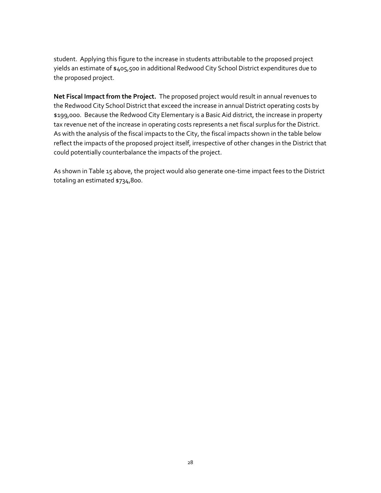student. Applying this figure to the increase in students attributable to the proposed project yields an estimate of \$405,500 in additional Redwood City School District expenditures due to the proposed project.

**Net Fiscal Impact from the Project.** The proposed project would result in annual revenues to the Redwood City School District that exceed the increase in annual District operating costs by \$199,000. Because the Redwood City Elementary is a Basic Aid district, the increase in property tax revenue net of the increase in operating costs represents a net fiscal surplus for the District. As with the analysis of the fiscal impacts to the City, the fiscal impacts shown in the table below reflect the impacts of the proposed project itself, irrespective of other changes in the District that could potentially counterbalance the impacts of the project.

As shown i[n Table 15](#page-20-1) above, the project would also generate one-time impact fees to the District totaling an estimated \$734,800.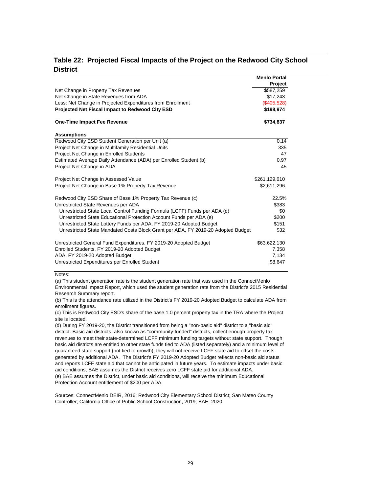#### <span id="page-33-0"></span>**Table 22: Projected Fiscal Impacts of the Project on the Redwood City School District**

**Menlo Portal**

| Net Change in Property Tax Revenues<br>Net Change in State Revenues from ADA<br>Less: Net Change in Projected Expenditures from Enrollment | \$587,259<br>\$17,243<br>(\$405,528)<br>\$198,974 |
|--------------------------------------------------------------------------------------------------------------------------------------------|---------------------------------------------------|
|                                                                                                                                            |                                                   |
|                                                                                                                                            |                                                   |
|                                                                                                                                            |                                                   |
| Projected Net Fiscal Impact to Redwood City ESD                                                                                            |                                                   |
| <b>One-Time Impact Fee Revenue</b>                                                                                                         | \$734,837                                         |
| <b>Assumptions</b>                                                                                                                         |                                                   |
| Redwood City ESD Student Generation per Unit (a)                                                                                           | 0.14                                              |
| Project Net Change in Multifamily Residential Units                                                                                        | 335                                               |
| Project Net Change in Enrolled Students                                                                                                    | 47                                                |
| Estimated Average Daily Attendance (ADA) per Enrolled Student (b)                                                                          | 0.97                                              |
| Project Net Change in ADA                                                                                                                  | 45                                                |
| Project Net Change in Assessed Value<br>\$261,129,610                                                                                      |                                                   |
| Project Net Change in Base 1% Property Tax Revenue                                                                                         | \$2,611,296                                       |
| Redwood City ESD Share of Base 1% Property Tax Revenue (c)                                                                                 | 22.5%                                             |
| Unrestricted State Revenues per ADA                                                                                                        | \$383                                             |
| Unrestricted State Local Control Funding Formula (LCFF) Funds per ADA (d)                                                                  | \$0                                               |
| Unrestricted State Educational Protection Account Funds per ADA (e)                                                                        | \$200                                             |
| Unrestricted State Lottery Funds per ADA, FY 2019-20 Adopted Budget                                                                        | \$151                                             |
| Unrestricted State Mandated Costs Block Grant per ADA, FY 2019-20 Adopted Budget                                                           | \$32                                              |
| Unrestricted General Fund Expenditures, FY 2019-20 Adopted Budget                                                                          | \$63,622,130                                      |
| Enrolled Students, FY 2019-20 Adopted Budget                                                                                               | 7,358                                             |
| ADA, FY 2019-20 Adopted Budget                                                                                                             | 7,134                                             |
| Unrestricted Expenditures per Enrolled Student                                                                                             | \$8,647                                           |

Notes:

(a) This student generation rate is the student generation rate that was used in the ConnectMenlo

Environmental Impact Report, which used the student generation rate from the District's 2015 Residential Research Summary report.

(b) This is the attendance rate utilized in the District's FY 2019-20 Adopted Budget to calculate ADA from enrollment figures.

(c) This is Redwood City ESD's share of the base 1.0 percent property tax in the TRA where the Project site is located.

(d) During FY 2019-20, the District transitioned from being a "non-basic aid" district to a "basic aid" district. Basic aid districts, also known as "community-funded" districts, collect enough property tax revenues to meet their state-determined LCFF minimum funding targets without state support. Though basic aid districts are entitled to other state funds tied to ADA (listed separately) and a minimum level of guaranteed state support (not tied to growth), they will not receive LCFF state aid to offset the costs generated by additional ADA. The District's FY 2019-20 Adopted Budget reflects non-basic aid status and reports LCFF state aid that cannot be anticipated in future years. To estimate impacts under basic aid conditions, BAE assumes the District receives zero LCFF state aid for additional ADA. (e) BAE assumes the District, under basic aid conditions, will receive the minimum Educational Protection Account entitlement of \$200 per ADA.

Sources: ConnectMenlo DEIR, 2016; Redwood City Elementary School District; San Mateo County Controller; California Office of Public School Construction, 2019; BAE, 2020.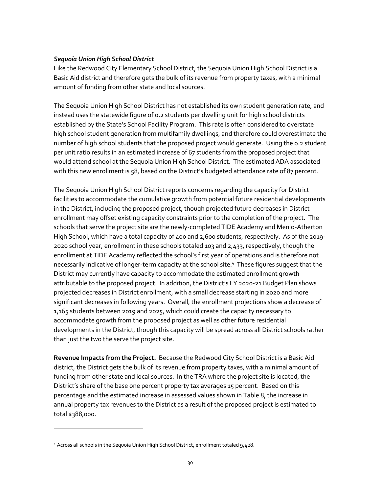#### *Sequoia Union High School District*

Like the Redwood City Elementary School District, the Sequoia Union High School District is a Basic Aid district and therefore gets the bulk of its revenue from property taxes, with a minimal amount of funding from other state and local sources.

The Sequoia Union High School District has not established its own student generation rate, and instead uses the statewide figure of 0.2 students per dwelling unit for high school districts established by the State's School Facility Program. This rate is often considered to overstate high school student generation from multifamily dwellings, and therefore could overestimate the number of high school students that the proposed project would generate. Using the 0.2 student per unit ratio results in an estimated increase of 67 students from the proposed project that would attend school at the Sequoia Union High School District. The estimated ADA associated with this new enrollment is 58, based on the District's budgeted attendance rate of 87 percent.

The Sequoia Union High School District reports concerns regarding the capacity for District facilities to accommodate the cumulative growth from potential future residential developments in the District, including the proposed project, though projected future decreases in District enrollment may offset existing capacity constraints prior to the completion of the project. The schools that serve the project site are the newly-completed TIDE Academy and Menlo-Atherton High School, which have a total capacity of 400 and 2,600 students, respectively. As of the 2019- 2020 school year, enrollment in these schools totaled 103 and 2,433, respectively, though the enrollment at TIDE Academy reflected the school's first year of operations and is therefore not necessarily indicative of longer-term capacity at the school site.<sup>4</sup> These figures suggest that the District may currently have capacity to accommodate the estimated enrollment growth attributable to the proposed project. In addition, the District's FY 2020-21 Budget Plan shows projected decreases in District enrollment, with a small decrease starting in 2020 and more significant decreases in following years. Overall, the enrollment projections show a decrease of 1,165 students between 2019 and 2025, which could create the capacity necessary to accommodate growth from the proposed project as well as other future residential developments in the District, though this capacity will be spread across all District schools rather than just the two the serve the project site.

**Revenue Impacts from the Project.** Because the Redwood City School District is a Basic Aid district, the District gets the bulk of its revenue from property taxes, with a minimal amount of funding from other state and local sources. In the TRA where the project site is located, the District's share of the base one percent property tax averages 15 percent. Based on this percentage and the estimated increase in assessed values shown in [Table 8,](#page-14-0) the increase in annual property tax revenues to the District as a result of the proposed project is estimated to total \$388,000.

 $\overline{a}$ 

<sup>4</sup> Across all schools in the Sequoia Union High School District, enrollment totaled 9,428.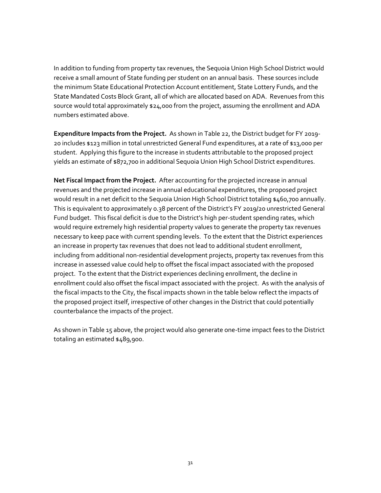In addition to funding from property tax revenues, the Sequoia Union High School District would receive a small amount of State funding per student on an annual basis. These sources include the minimum State Educational Protection Account entitlement, State Lottery Funds, and the State Mandated Costs Block Grant, all of which are allocated based on ADA. Revenues from this source would total approximately \$24,000 from the project, assuming the enrollment and ADA numbers estimated above.

**Expenditure Impacts from the Project.** As shown i[n Table 22,](#page-33-0) the District budget for FY 2019- 20 includes \$123 million in total unrestricted General Fund expenditures, at a rate of \$13,000 per student. Applying this figure to the increase in students attributable to the proposed project yields an estimate of \$872,700 in additional Sequoia Union High School District expenditures.

**Net Fiscal Impact from the Project.** After accounting for the projected increase in annual revenues and the projected increase in annual educational expenditures, the proposed project would result in a net deficit to the Sequoia Union High School District totaling \$460,700 annually. This is equivalent to approximately 0.38 percent of the District's FY 2019/20 unrestricted General Fund budget. This fiscal deficit is due to the District's high per-student spending rates, which would require extremely high residential property values to generate the property tax revenues necessary to keep pace with current spending levels. To the extent that the District experiences an increase in property tax revenues that does not lead to additional student enrollment, including from additional non-residential development projects, property tax revenues from this increase in assessed value could help to offset the fiscal impact associated with the proposed project. To the extent that the District experiences declining enrollment, the decline in enrollment could also offset the fiscal impact associated with the project. As with the analysis of the fiscal impacts to the City, the fiscal impacts shown in the table below reflect the impacts of the proposed project itself, irrespective of other changes in the District that could potentially counterbalance the impacts of the project.

As shown i[n Table 15](#page-20-1) above, the project would also generate one-time impact fees to the District totaling an estimated \$489,900.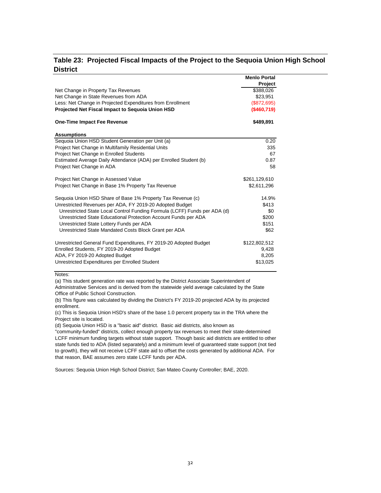#### <span id="page-36-0"></span>**Table 23: Projected Fiscal Impacts of the Project to the Sequoia Union High School District**

|                                                                           | <b>Menlo Portal</b> |
|---------------------------------------------------------------------------|---------------------|
|                                                                           | Project             |
| Net Change in Property Tax Revenues                                       | \$388,026           |
| Net Change in State Revenues from ADA                                     | \$23,951            |
| Less: Net Change in Projected Expenditures from Enrollment                | (\$872,695)         |
| <b>Projected Net Fiscal Impact to Sequoia Union HSD</b>                   | (\$460,719)         |
| <b>One-Time Impact Fee Revenue</b>                                        | \$489,891           |
| <b>Assumptions</b>                                                        |                     |
| Sequoia Union HSD Student Generation per Unit (a)                         | 0.20                |
| Project Net Change in Multifamily Residential Units                       | 335                 |
| Project Net Change in Enrolled Students                                   | 67                  |
| Estimated Average Daily Attendance (ADA) per Enrolled Student (b)         | 0.87                |
| Project Net Change in ADA                                                 | 58                  |
| Project Net Change in Assessed Value                                      | \$261,129,610       |
| Project Net Change in Base 1% Property Tax Revenue                        | \$2,611,296         |
| Sequoia Union HSD Share of Base 1% Property Tax Revenue (c)               | 14.9%               |
| Unrestricted Revenues per ADA, FY 2019-20 Adopted Budget                  | \$413               |
| Unrestricted State Local Control Funding Formula (LCFF) Funds per ADA (d) | \$0                 |
| Unrestricted State Educational Protection Account Funds per ADA           | \$200               |
| Unrestricted State Lottery Funds per ADA                                  | \$151               |
| Unrestricted State Mandated Costs Block Grant per ADA                     | \$62                |
| Unrestricted General Fund Expenditures, FY 2019-20 Adopted Budget         | \$122,802,512       |
| Enrolled Students, FY 2019-20 Adopted Budget                              | 9,428               |
| ADA, FY 2019-20 Adopted Budget                                            | 8,205               |
| Unrestricted Expenditures per Enrolled Student                            | \$13,025            |
|                                                                           |                     |

Notes:

(a) This student generation rate was reported by the District Associate Superintendent of

Administrative Services and is derived from the statewide yield average calculated by the State Office of Public School Construction.

(b) This figure was calculated by dividing the District's FY 2019-20 projected ADA by its projected enrollment.

(c) This is Sequoia Union HSD's share of the base 1.0 percent property tax in the TRA where the Project site is located.

(d) Sequoia Union HSD is a "basic aid" district. Basic aid districts, also known as

"community-funded" districts, collect enough property tax revenues to meet their state-determined LCFF minimum funding targets without state support. Though basic aid districts are entitled to other state funds tied to ADA (listed separately) and a minimum level of guaranteed state support (not tied to growth), they will not receive LCFF state aid to offset the costs generated by additional ADA. For that reason, BAE assumes zero state LCFF funds per ADA.

Sources: Sequoia Union High School District; San Mateo County Controller; BAE, 2020.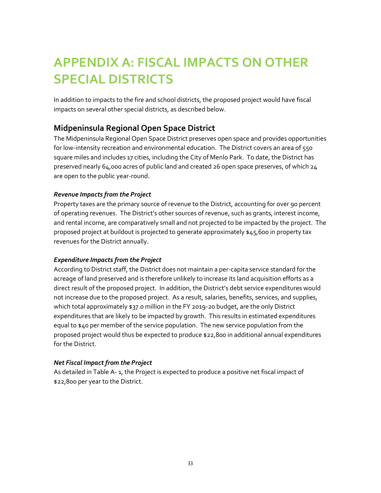## <span id="page-37-0"></span>**APPENDIX A: FISCAL IMPACTS ON OTHER SPECIAL DISTRICTS**

In addition to impacts to the fire and school districts, the proposed project would have fiscal impacts on several other special districts, as described below.

### <span id="page-37-1"></span>**Midpeninsula Regional Open Space District**

The Midpeninsula Regional Open Space District preserves open space and provides opportunities for low-intensity recreation and environmental education. The District covers an area of 550 square miles and includes 17 cities, including the City of Menlo Park. To date, the District has preserved nearly 64,000 acres of public land and created 26 open space preserves, of which 24 are open to the public year-round.

#### *Revenue Impacts from the Project*

Property taxes are the primary source of revenue to the District, accounting for over 90 percent of operating revenues. The District's other sources of revenue, such as grants, interest income, and rental income, are comparatively small and not projected to be impacted by the project. The proposed project at buildout is projected to generate approximately \$45,600 in property tax revenues for the District annually.

#### *Expenditure Impacts from the Project*

According to District staff, the District does not maintain a per-capita service standard for the acreage of land preserved and is therefore unlikely to increase its land acquisition efforts as a direct result of the proposed project. In addition, the District's debt service expenditures would not increase due to the proposed project. As a result, salaries, benefits, services, and supplies, which total approximately \$37.0 million in the FY 2019-20 budget, are the only District expenditures that are likely to be impacted by growth. This results in estimated expenditures equal to \$40 per member of the service population. The new service population from the proposed project would thus be expected to produce \$22,800 in additional annual expenditures for the District.

#### *Net Fiscal Impact from the Project*

As detailed in [Table A-](#page-38-1) 1, the Project is expected to produce a positive net fiscal impact of \$22,800 per year to the District.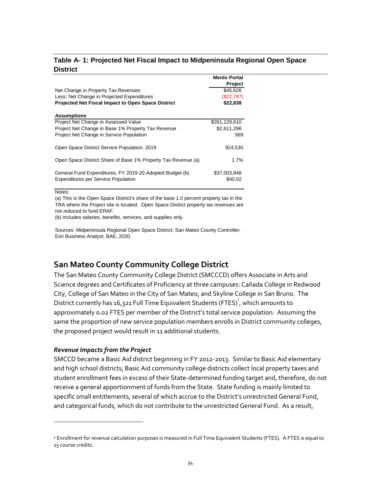#### <span id="page-38-1"></span>**Table A- 1: Projected Net Fiscal Impact to Midpeninsula Regional Open Space District**

|                                                               | <b>Menio Portal</b> |
|---------------------------------------------------------------|---------------------|
|                                                               | <b>Project</b>      |
| Net Change in Property Tax Revenues                           | \$45,626            |
| Less: Net Change in Projected Expenditures                    | (\$22,787)          |
| <b>Projected Net Fiscal Impact to Open Space District</b>     | \$22,838            |
|                                                               |                     |
| <b>Assumptions</b>                                            |                     |
| Project Net Change in Assessed Value                          | \$261,129,610       |
| Project Net Change in Base 1% Property Tax Revenue            | \$2,611,296         |
| Project Net Change in Service Population                      | 569                 |
|                                                               |                     |
| Open Space District Service Population, 2019                  | 924.530             |
|                                                               |                     |
| Open Space District Share of Base 1% Property Tax Revenue (a) | 1.7%                |
|                                                               |                     |
| General Fund Expenditures, FY 2019-20 Adopted Budget (b)      | \$37,003,848        |
| <b>Expenditures per Service Population</b>                    | \$40.02             |
|                                                               |                     |

Notes:

 $\overline{\phantom{a}}$ 

(a) This is the Open Space District's share of the base 1.0 percent property tax in the TRA where the Project site is located. Open Space District property tax revenues are not reduced to fund ERAF.

(b) Includes salaries, benefits, services, and supplies only.

Sources: Midpeninsula Regional Open Space District; San Mateo County Controller; Esri Business Analyst; BAE, 2020.

### <span id="page-38-0"></span>**San Mateo County Community College District**

The San Mateo County Community College District (SMCCCD) offers Associate in Arts and Science degrees and Certificates of Proficiency at three campuses: Cañada College in Redwood City, College of San Mateo in the City of San Mateo, and Skyline College in San Bruno. The District currently has 16,321 Full Time Equivalent Students (FTES) $\degree$ , which amounts to approximately 0.02 FTES per member of the District's total service population. Assuming the same the proportion of new service population members enrolls in District community colleges, the proposed project would result in 11 additional students.

#### *Revenue Impacts from the Project*

SMCCD became a Basic Aid district beginning in FY 2012-2013. Similar to Basic Aid elementary and high school districts, Basic Aid community college districts collect local property taxes and student enrollment fees in excess of their State-determined funding target and, therefore, do not receive a general apportionment of funds from the State. State funding is mainly limited to specific small entitlements, several of which accrue to the District's unrestricted General Fund, and categorical funds, which do not contribute to the unrestricted General Fund. As a result,

<sup>5</sup> Enrollment for revenue calculation purposes is measured in Full Time Equivalent Students (FTES). A FTES is equal to 15 course credits.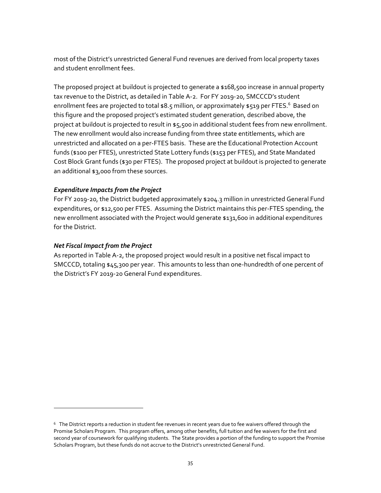most of the District's unrestricted General Fund revenues are derived from local property taxes and student enrollment fees.

The proposed project at buildout is projected to generate a \$168,500 increase in annual property tax revenue to the District, as detailed in [Table A-2.](#page-40-1) For FY 2019-20, SMCCCD's student enrollment fees are projected to total \$8.5 million, or approximately \$519 per FTES.<sup>6</sup> Based on this figure and the proposed project's estimated student generation, described above, the project at buildout is projected to result in  $\frac{1}{5}$ , 500 in additional student fees from new enrollment. The new enrollment would also increase funding from three state entitlements, which are unrestricted and allocated on a per-FTES basis. These are the Educational Protection Account funds (\$100 per FTES), unrestricted State Lottery funds (\$153 per FTES), and State Mandated Cost Block Grant funds (\$30 per FTES). The proposed project at buildout is projected to generate an additional \$3,000 from these sources.

#### *Expenditure Impacts from the Project*

For FY 2019-20, the District budgeted approximately \$204.3 million in unrestricted General Fund expenditures, or \$12,500 per FTES. Assuming the District maintains this per-FTES spending, the new enrollment associated with the Project would generate \$131,600 in additional expenditures for the District.

#### *Net Fiscal Impact from the Project*

 $\overline{a}$ 

As reported i[n Table A-2,](#page-40-1) the proposed project would result in a positive net fiscal impact to SMCCCD, totaling \$45,300 per year. This amounts to less than one-hundredth of one percent of the District's FY 2019-20 General Fund expenditures.

 $^6\,$  The District reports a reduction in student fee revenues in recent years due to fee waivers offered through the Promise Scholars Program. This program offers, among other benefits, full tuition and fee waivers for the first and second year of coursework for qualifying students. The State provides a portion of the funding to support the Promise Scholars Program, but these funds do not accrue to the District's unrestricted General Fund.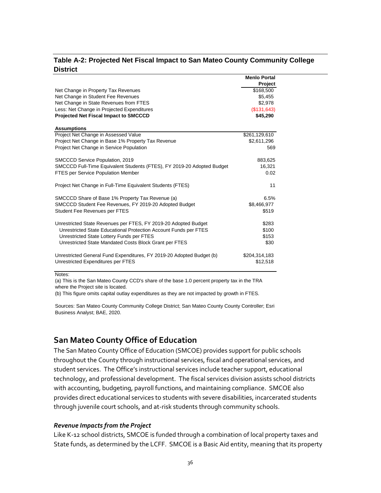#### <span id="page-40-1"></span>**Table A-2: Projected Net Fiscal Impact to San Mateo County Community College District**

|                                                                        | <b>Menlo Portal</b> |
|------------------------------------------------------------------------|---------------------|
|                                                                        | Project             |
| Net Change in Property Tax Revenues                                    | \$168,500           |
| Net Change in Student Fee Revenues                                     | \$5,455             |
| Net Change in State Revenues from FTES                                 | \$2,978             |
| Less: Net Change in Projected Expenditures                             | (\$131.643)         |
| <b>Projected Net Fiscal Impact to SMCCCD</b>                           | \$45,290            |
| <b>Assumptions</b>                                                     |                     |
| Project Net Change in Assessed Value                                   | \$261,129,610       |
| Project Net Change in Base 1% Property Tax Revenue                     | \$2,611,296         |
| Project Net Change in Service Population                               | 569                 |
| SMCCCD Service Population, 2019                                        | 883,625             |
| SMCCCD Full-Time Equivalent Students (FTES), FY 2019-20 Adopted Budget | 16,321              |
| <b>FTES per Service Population Member</b>                              | 0.02                |
| Project Net Change in Full-Time Equivalent Students (FTES)             | 11                  |
| SMCCCD Share of Base 1% Property Tax Revenue (a)                       | 6.5%                |
| SMCCCD Student Fee Revenues, FY 2019-20 Adopted Budget                 | \$8,466,977         |
| Student Fee Revenues per FTES                                          | \$519               |
| Unrestricted State Revenues per FTES, FY 2019-20 Adopted Budget        | \$283               |
| Unrestricted State Educational Protection Account Funds per FTES       | \$100               |
| Unrestricted State Lottery Funds per FTES                              | \$153               |
| Unrestricted State Mandated Costs Block Grant per FTES                 | \$30                |
| Unrestricted General Fund Expenditures, FY 2019-20 Adopted Budget (b)  | \$204,314,183       |
| Unrestricted Expenditures per FTES                                     | \$12,518            |

Notes:

(a) This is the San Mateo County CCD's share of the base 1.0 percent property tax in the TRA where the Project site is located.

(b) This figure omits capital outlay expenditures as they are not impacted by growth in FTES.

Sources: San Mateo County Community College District; San Mateo County County Controller; Esri Business Analyst; BAE, 2020.

### <span id="page-40-0"></span>**San Mateo County Office of Education**

The San Mateo County Office of Education (SMCOE) provides support for public schools throughout the County through instructional services, fiscal and operational services, and student services. The Office's instructional services include teacher support, educational technology, and professional development. The fiscal services division assists school districts with accounting, budgeting, payroll functions, and maintaining compliance. SMCOE also provides direct educational services to students with severe disabilities, incarcerated students through juvenile court schools, and at-risk students through community schools.

#### *Revenue Impacts from the Project*

Like K-12 school districts, SMCOE is funded through a combination of local property taxes and State funds, as determined by the LCFF. SMCOE is a Basic Aid entity, meaning that its property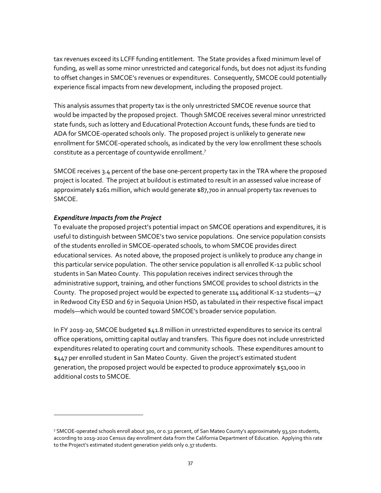tax revenues exceed its LCFF funding entitlement. The State provides a fixed minimum level of funding, as well as some minor unrestricted and categorical funds, but does not adjust its funding to offset changes in SMCOE's revenues or expenditures. Consequently, SMCOE could potentially experience fiscal impacts from new development, including the proposed project.

This analysis assumes that property tax is the only unrestricted SMCOE revenue source that would be impacted by the proposed project. Though SMCOE receives several minor unrestricted state funds, such as lottery and Educational Protection Account funds, these funds are tied to ADA for SMCOE-operated schools only. The proposed project is unlikely to generate new enrollment for SMCOE-operated schools, as indicated by the very low enrollment these schools constitute as a percentage of countywide enrollment.<sup>7</sup>

SMCOE receives 3.4 percent of the base one-percent property tax in the TRA where the proposed project is located. The project at buildout is estimated to result in an assessed value increase of approximately \$261 million, which would generate \$87,700 in annual property tax revenues to SMCOE.

#### *Expenditure Impacts from the Project*

 $\overline{a}$ 

To evaluate the proposed project's potential impact on SMCOE operations and expenditures, it is useful to distinguish between SMCOE's two service populations. One service population consists of the students enrolled in SMCOE-operated schools, to whom SMCOE provides direct educational services. As noted above, the proposed project is unlikely to produce any change in this particular service population. The other service population is all enrolled K-12 public school students in San Mateo County. This population receives indirect services through the administrative support, training, and other functions SMCOE provides to school districts in the County. The proposed project would be expected to generate 114 additional K-12 students—47 in Redwood City ESD and 67 in Sequoia Union HSD, as tabulated in their respective fiscal impact models—which would be counted toward SMCOE's broader service population.

In FY 2019-20, SMCOE budgeted \$41.8 million in unrestricted expenditures to service its central office operations, omitting capital outlay and transfers. This figure does not include unrestricted expenditures related to operating court and community schools. These expenditures amount to \$447 per enrolled student in San Mateo County. Given the project's estimated student generation, the proposed project would be expected to produce approximately \$51,000 in additional costs to SMCOE.

<sup>7</sup> SMCOE-operated schools enroll about 300, or 0.32 percent, of San Mateo County's approximately 93,500 students, according to 2019-2020 Census day enrollment data from the California Department of Education. Applying this rate to the Project's estimated student generation yields only 0.37 students.